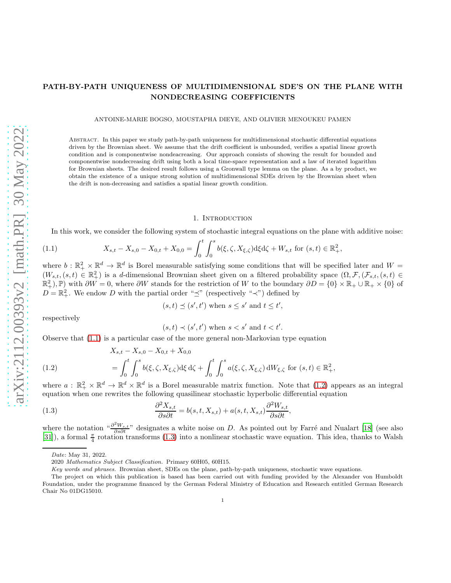# PATH-BY-PATH UNIQUENESS OF MULTIDIMENSIONAL SDE'S ON THE PLANE WITH NONDECREASING COEFFICIENTS

ANTOINE-MARIE BOGSO, MOUSTAPHA DIEYE, AND OLIVIER MENOUKEU PAMEN

Abstract. In this paper we study path-by-path uniqueness for multidimensional stochastic differential equations driven by the Brownian sheet. We assume that the drift coefficient is unbounded, verifies a spatial linear growth condition and is componentwise nondeacreasing. Our approach consists of showing the result for bounded and componentwise nondecreasing drift using both a local time-space representation and a law of iterated logarithm for Brownian sheets. The desired result follows using a Gronwall type lemma on the plane. As a by product, we obtain the existence of a unique strong solution of multidimensional SDEs driven by the Brownian sheet when the drift is non-decreasing and satisfies a spatial linear growth condition.

### 1. Introduction

In this work, we consider the following system of stochastic integral equations on the plane with additive noise:

<span id="page-0-0"></span>(1.1) 
$$
X_{s,t} - X_{s,0} - X_{0,t} + X_{0,0} = \int_0^t \int_0^s b(\xi,\zeta,X_{\xi,\zeta})d\xi d\zeta + W_{s,t} \text{ for } (s,t) \in \mathbb{R}^2_+,
$$

where  $b : \mathbb{R}^2_+ \times \mathbb{R}^d \to \mathbb{R}^d$  is Borel measurable satisfying some conditions that will be specified later and  $W =$  $(W_{s,t},(s,t) \in \mathbb{R}^2_+)$  is a d-dimensional Brownian sheet given on a filtered probability space  $(\Omega, \mathcal{F},(\mathcal{F}_{s,t},(s,t) \in \mathbb{R}^2_+)$  $(\mathbb{R}^2_+), \mathbb{P})$  with  $\partial W = 0$ , where  $\partial W$  stands for the restriction of W to the boundary  $\partial D = \{0\} \times \mathbb{R}_+ \cup \mathbb{R}_+ \times \{0\}$  of  $D = \mathbb{R}^2_+$ . We endow D with the partial order " $\preceq$ " (respectively " $\prec$ ") defined by

$$
(s,t) \preceq (s',t')
$$
 when  $s \leq s'$  and  $t \leq t'$ ,

respectively

$$
(s,t) \prec (s',t') \text{ when } s < s' \text{ and } t < t'.
$$

Observe that [\(1.1\)](#page-0-0) is a particular case of the more general non-Markovian type equation

<span id="page-0-1"></span>(1.2) 
$$
X_{s,t} - X_{s,0} - X_{0,t} + X_{0,0}
$$

$$
= \int_0^t \int_0^s b(\xi, \zeta, X_{\xi,\zeta}) d\xi d\zeta + \int_0^t \int_0^s a(\xi, \zeta, X_{\xi,\zeta}) dW_{\xi,\zeta} \text{ for } (s,t) \in \mathbb{R}^2_+,
$$

where  $a: \mathbb{R}_+^2 \times \mathbb{R}^d \to \mathbb{R}^d \times \mathbb{R}^d$  is a Borel measurable matrix function. Note that [\(1.2\)](#page-0-1) appears as an integral equation when one rewrites the following quasilinear stochastic hyperbolic differential equation

<span id="page-0-2"></span>(1.3) 
$$
\frac{\partial^2 X_{s,t}}{\partial s \partial t} = b(s, t, X_{s,t}) + a(s, t, X_{s,t}) \frac{\partial^2 W_{s,t}}{\partial s \partial t},
$$

where the notation " $\frac{\partial^2 W_{s,t}}{\partial s \partial t}$ " designates a white noise on D. As pointed out by Farré and Nualart [\[18\]](#page-22-0) (see also [\[31](#page-23-0)]), a formal  $\frac{\pi}{4}$  rotation transforms [\(1.3\)](#page-0-2) into a nonlinear stochastic wave equation. This idea, thanks to Walsh

Date: May 31, 2022.

<sup>2020</sup> Mathematics Subject Classification. Primary 60H05, 60H15.

Key words and phrases. Brownian sheet, SDEs on the plane, path-by-path uniqueness, stochastic wave equations.

The project on which this publication is based has been carried out with funding provided by the Alexander von Humboldt Foundation, under the programme financed by the German Federal Ministry of Education and Research entitled German Research Chair No 01DG15010.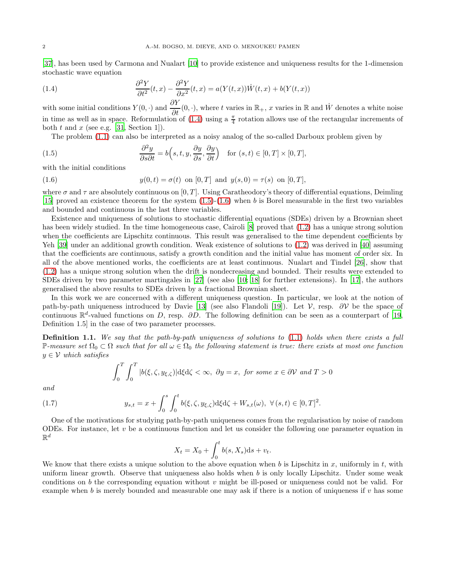[\[37](#page-23-1)], has been used by Carmona and Nualart [\[10](#page-22-1)] to provide existence and uniqueness results for the 1-dimension stochastic wave equation

<span id="page-1-0"></span>(1.4) 
$$
\frac{\partial^2 Y}{\partial t^2}(t,x) - \frac{\partial^2 Y}{\partial x^2}(t,x) = a(Y(t,x))\dot{W}(t,x) + b(Y(t,x))
$$

with some initial conditions  $Y(0, \cdot)$  and  $\frac{\partial Y}{\partial t}(0, \cdot)$ , where t varies in  $\mathbb{R}_+$ , x varies in  $\mathbb{R}$  and  $\dot{W}$  denotes a white noise in time as well as in space. Reformulation of  $(1.4)$  using a  $\frac{\pi}{4}$  rotation allows use of the rectangular increments of both t and x (see e.g. [\[31,](#page-23-0) Section 1]).

The problem [\(1.1\)](#page-0-0) can also be interpreted as a noisy analog of the so-called Darboux problem given by

<span id="page-1-1"></span>(1.5) 
$$
\frac{\partial^2 y}{\partial s \partial t} = b\left(s, t, y, \frac{\partial y}{\partial s}, \frac{\partial y}{\partial t}\right) \text{ for } (s, t) \in [0, T] \times [0, T],
$$

with the initial conditions

<span id="page-1-2"></span>(1.6) 
$$
y(0,t) = \sigma(t) \text{ on } [0,T] \text{ and } y(s,0) = \tau(s) \text{ on } [0,T],
$$

where  $\sigma$  and  $\tau$  are absolutely continuous on [0, T]. Using Caratheodory's theory of differential equations, Deimling [\[15](#page-22-2)] proved an existence theorem for the system  $(1.5)-(1.6)$  $(1.5)-(1.6)$  when b is Borel measurable in the first two variables and bounded and continuous in the last three variables.

Existence and uniqueness of solutions to stochastic differential equations (SDEs) driven by a Brownian sheet has been widely studied. In the time homogeneous case, Cairoli [\[8\]](#page-22-3) proved that  $(1.2)$  has a unique strong solution when the coefficients are Lipschitz continuous. This result was generalised to the time dependent coefficients by Yeh [\[39](#page-23-2)] under an additional growth condition. Weak existence of solutions to  $(1.2)$  was derived in [\[40](#page-23-3)] assuming that the coefficients are continuous, satisfy a growth condition and the initial value has moment of order six. In all of the above mentioned works, the coefficients are at least continuous. Nualart and Tindel [\[26\]](#page-23-4), show that [\(1.2\)](#page-0-1) has a unique strong solution when the drift is nondecreasing and bounded. Their results were extended to SDEs driven by two parameter martingales in [\[27](#page-23-5)] (see also [\[10;](#page-22-1) [18\]](#page-22-0) for further extensions). In [\[17](#page-22-4)], the authors generalised the above results to SDEs driven by a fractional Brownian sheet.

In this work we are concerned with a different uniqueness question. In particular, we look at the notion of path-by-path uniqueness introduced by Davie [\[13\]](#page-22-5) (see also Flandoli [\[19](#page-22-6)]). Let  $V$ , resp. ∂V be the space of continuous  $\mathbb{R}^d$ -valued functions on D, resp. ∂D. The following definition can be seen as a counterpart of [\[19,](#page-22-6) Definition 1.5] in the case of two parameter processes.

<span id="page-1-3"></span>Definition 1.1. We say that the path-by-path uniqueness of solutions to [\(1.1\)](#page-0-0) holds when there exists a full P-measure set  $\Omega_0 \subset \Omega$  such that for all  $\omega \in \Omega_0$  the following statement is true: there exists at most one function  $y \in V$  which satisfies

$$
\int_0^T \int_0^T |b(\xi, \zeta, y_{\xi, \zeta})| d\xi d\zeta < \infty, \ \ \partial y = x, \ \text{for some } x \in \partial \mathcal{V} \ \text{and } T > 0
$$

and

<span id="page-1-4"></span>(1.7) 
$$
y_{s,t} = x + \int_0^s \int_0^t b(\xi, \zeta, y_{\xi, \zeta}) d\xi d\zeta + W_{s,t}(\omega), \ \forall (s,t) \in [0,T]^2.
$$

One of the motivations for studying path-by-path uniqueness comes from the regularisation by noise of random ODEs. For instance, let v be a continuous function and let us consider the following one parameter equation in  $\mathbb{R}^d$ 

$$
X_t = X_0 + \int_0^t b(s, X_s) \mathrm{d}s + v_t.
$$

We know that there exists a unique solution to the above equation when b is Lipschitz in x, uniformly in t, with uniform linear growth. Observe that uniqueness also holds when  $b$  is only locally Lipschitz. Under some weak conditions on b the corresponding equation without  $v$  might be ill-posed or uniqueness could not be valid. For example when b is merely bounded and measurable one may ask if there is a notion of uniqueness if v has some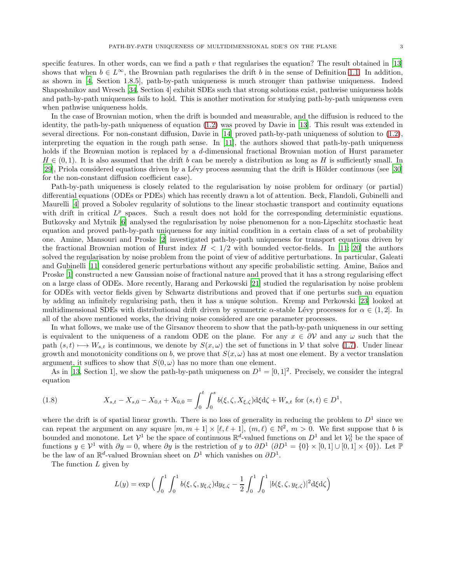specific features. In other words, can we find a path v that regularises the equation? The result obtained in [\[13\]](#page-22-5) shows that when  $b \in L^{\infty}$ , the Brownian path regularises the drift b in the sense of Definition [1.1.](#page-1-3) In addition, as shown in [\[4,](#page-22-7) Section 1.8.5], path-by-path uniqueness is much stronger than pathwise uniqueness. Indeed Shaposhnikov and Wresch [\[34](#page-23-6), Section 4] exhibit SDEs such that strong solutions exist, pathwise uniqueness holds and path-by-path uniqueness fails to hold. This is another motivation for studying path-by-path uniqueness even when pathwise uniqueness holds.

In the case of Brownian motion, when the drift is bounded and measurable, and the diffusion is reduced to the identity, the path-by-path uniqueness of equation [\(1.2\)](#page-0-1) was proved by Davie in [\[13](#page-22-5)]. This result was extended in several directions. For non-constant diffusion, Davie in [\[14](#page-22-8)] proved path-by-path uniqueness of solution to [\(1.2\)](#page-0-1), interpreting the equation in the rough path sense. In [\[11\]](#page-22-9), the authors showed that path-by-path uniqueness holds if the Brownian motion is replaced by a d-dimensional fractional Brownian motion of Hurst parameter  $H \in (0, 1)$ . It is also assumed that the drift b can be merely a distribution as long as H is sufficiently small. In [\[29](#page-23-7)], Priola considered equations driven by a Lévy process assuming that the drift is Hölder continuous (see [\[30\]](#page-23-8) for the non-constant diffusion coefficient case).

Path-by-path uniqueness is closely related to the regularisation by noise problem for ordinary (or partial) differential equations (ODEs or PDEs) which has recently drawn a lot of attention. Beck, Flandoli, Gubinelli and Maurelli [\[4](#page-22-7)] proved a Sobolev regularity of solutions to the linear stochastic transport and continuity equations with drift in critical  $L^p$  spaces. Such a result does not hold for the corresponding deterministic equations. Butkovsky and Mytnik [\[6\]](#page-22-10) analysed the regularisation by noise phenomenon for a non-Lipschitz stochastic heat equation and proved path-by-path uniqueness for any initial condition in a certain class of a set of probability one. Amine, Mansouri and Proske [\[2\]](#page-22-11) investigated path-by-path uniqueness for transport equations driven by the fractional Brownian motion of Hurst index  $H < 1/2$  with bounded vector-fields. In [\[11;](#page-22-9) [20\]](#page-22-12) the authors solved the regularisation by noise problem from the point of view of additive perturbations. In particular, Galeati and Gubinelli [\[11\]](#page-22-9) considered generic perturbations without any specific probabilistic setting. Amine, Baños and Proske [\[1](#page-22-13)] constructed a new Gaussian noise of fractional nature and proved that it has a strong regularising effect on a large class of ODEs. More recently, Harang and Perkowski [\[21\]](#page-22-14) studied the regularisation by noise problem for ODEs with vector fields given by Schwartz distributions and proved that if one perturbs such an equation by adding an infinitely regularising path, then it has a unique solution. Kremp and Perkowski [\[23](#page-22-15)] looked at multidimensional SDEs with distributional drift driven by symmetric  $\alpha$ -stable Lévy processes for  $\alpha \in (1, 2]$ . In all of the above mentioned works, the driving noise considered are one parameter processes.

In what follows, we make use of the Girsanov theorem to show that the path-by-path uniqueness in our setting is equivalent to the uniqueness of a random ODE on the plane. For any  $x \in \partial V$  and any  $\omega$  such that the path  $(s, t) \mapsto W_{s,t}$  is continuous, we denote by  $S(x, \omega)$  the set of functions in V that solve [\(1.7\)](#page-1-4). Under linear growth and monotonicity conditions on b, we prove that  $S(x, \omega)$  has at most one element. By a vector translation argument, it suffices to show that  $S(0, \omega)$  has no more than one element.

As in [\[13](#page-22-5), Section 1], we show the path-by-path uniqueness on  $D^1 = [0,1]^2$ . Precisely, we consider the integral equation

<span id="page-2-0"></span>(1.8) 
$$
X_{s,t} - X_{s,0} - X_{0,t} + X_{0,0} = \int_0^t \int_0^s b(\xi,\zeta,X_{\xi,\zeta})d\xi d\zeta + W_{s,t} \text{ for } (s,t) \in D^1,
$$

where the drift is of spatial linear growth. There is no loss of generality in reducing the problem to  $D^1$  since we can repeat the argument on any square  $[m, m + 1] \times [\ell, \ell + 1]$ ,  $(m, \ell) \in \mathbb{N}^2$ ,  $m > 0$ . We first suppose that b is bounded and monotone. Let  $\mathcal{V}^1$  be the space of continuous  $\mathbb{R}^d$ -valued functions on  $D^1$  and let  $\mathcal{V}^1_0$  be the space of functions  $y \in \mathcal{V}^1$  with  $\partial y = 0$ , where  $\partial y$  is the restriction of y to  $\partial D^1$   $(\partial D^1 = \{0\} \times [0,1] \cup [0,1] \times \{0\})$ . Let  $\mathbb{P}$ be the law of an  $\mathbb{R}^d$ -valued Brownian sheet on  $D^1$  which vanishes on  $\partial D^1$ .

The function L given by

$$
L(y) = \exp \Big( \int_0^1 \int_0^1 b(\xi, \zeta, y_{\xi, \zeta}) \mathrm{d}y_{\xi, \zeta} - \frac{1}{2} \int_0^1 \int_0^1 |b(\xi, \zeta, y_{\xi, \zeta})|^2 \mathrm{d}\xi \mathrm{d}\zeta \Big)
$$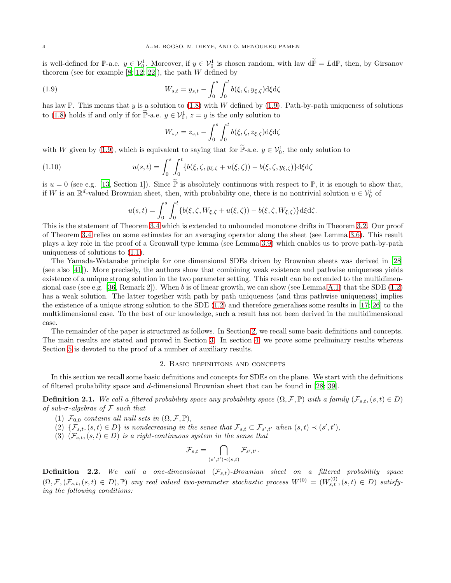is well-defined for  $\mathbb{P}\text{-a.e. } y \in \mathcal{V}_0^1$ . Moreover, if  $y \in \mathcal{V}_0^1$  is chosen random, with law  $d\mathbb{P} = L d\mathbb{P}$ , then, by Girsanov theorem (see for example [\[8](#page-22-3); [12;](#page-22-16) [22\]](#page-22-17)), the path  $W$  defined by

<span id="page-3-0"></span>(1.9) 
$$
W_{s,t} = y_{s,t} - \int_0^s \int_0^t b(\xi, \zeta, y_{\xi, \zeta}) d\xi d\zeta
$$

has law P. This means that y is a solution to  $(1.8)$  with W defined by  $(1.9)$ . Path-by-path uniqueness of solutions to [\(1.8\)](#page-2-0) holds if and only if for  $\mathbb{P}_{\text{-a.e.}} y \in \mathcal{V}_0^1$ ,  $z = y$  is the only solution to

$$
W_{s,t} = z_{s,t} - \int_0^s \int_0^t b(\xi, \zeta, z_{\xi, \zeta}) \mathrm{d}\xi \mathrm{d}\zeta
$$

with W given by [\(1.9\)](#page-3-0), which is equivalent to saying that for  $\mathbb{P}\text{-a.e. } y \in \mathcal{V}_0^1$ , the only solution to

(1.10) 
$$
u(s,t) = \int_0^s \int_0^t \{b(\xi,\zeta,y_{\xi,\zeta} + u(\xi,\zeta)) - b(\xi,\zeta,y_{\xi,\zeta})\} d\xi d\zeta
$$

is  $u = 0$  (see e.g. [\[13,](#page-22-5) Section 1]). Since  $\tilde{\mathbb{P}}$  is absolutely continuous with respect to  $\mathbb{P}$ , it is enough to show that, if W is an  $\mathbb{R}^d$ -valued Brownian sheet, then, with probability one, there is no nontrivial solution  $u \in V_0^1$  of

$$
u(s,t) = \int_0^s \int_0^t \{b(\xi,\zeta,W_{\xi,\zeta} + u(\xi,\zeta)) - b(\xi,\zeta,W_{\xi,\zeta})\}d\xi d\zeta.
$$

This is the statement of Theorem [3.4](#page-5-0) which is extended to unbounded monotone drifts in Theorem [3.2.](#page-5-1) Our proof of Theorem [3.4](#page-5-0) relies on some estimates for an averaging operator along the sheet (see Lemma [3.6\)](#page-6-0). This result plays a key role in the proof of a Gronwall type lemma (see Lemma [3.9\)](#page-6-1) which enables us to prove path-by-path uniqueness of solutions to [\(1.1\)](#page-0-0).

The Yamada-Watanabe principle for one dimensional SDEs driven by Brownian sheets was derived in [\[28\]](#page-23-9) (see also [\[41\]](#page-23-10)). More precisely, the authors show that combining weak existence and pathwise uniqueness yields existence of a unique strong solution in the two parameter setting. This result can be extended to the multidimen-sional case (see e.g. [\[36,](#page-23-11) Remark 2]). When b is of linear growth, we can show (see Lemma [A.1\)](#page-21-0) that the SDE  $(1.2)$ has a weak solution. The latter together with path by path uniqueness (and thus pathwise uniqueness) implies the existence of a unique strong solution to the SDE [\(1.2\)](#page-0-1) and therefore generalises some results in [\[17](#page-22-4); [26\]](#page-23-4) to the multidimensional case. To the best of our knowledge, such a result has not been derived in the multidimensional case.

The remainder of the paper is structured as follows. In Section [2,](#page-3-1) we recall some basic definitions and concepts. The main results are stated and proved in Section [3.](#page-5-2) In section [4,](#page-8-0) we prove some preliminary results whereas Section [5](#page-14-0) is devoted to the proof of a number of auxiliary results.

### 2. Basic definitions and concepts

<span id="page-3-1"></span>In this section we recall some basic definitions and concepts for SDEs on the plane. We start with the definitions of filtered probability space and d-dimensional Brownian sheet that can be found in [\[28](#page-23-9); [39](#page-23-2)].

**Definition 2.1.** We call a filtered probability space any probability space  $(\Omega, \mathcal{F}, \mathbb{P})$  with a family  $(\mathcal{F}_{s,t}, (s,t) \in D)$ of sub- $\sigma$ -algebras of  $\mathcal F$  such that

- (1)  $\mathcal{F}_{0,0}$  contains all null sets in  $(\Omega, \mathcal{F}, \mathbb{P}),$
- (2)  $\{\mathcal{F}_{s,t},(s,t) \in D\}$  is nondecreasing in the sense that  $\mathcal{F}_{s,t} \subset \mathcal{F}_{s',t'}$  when  $(s,t) \prec (s',t')$ ,
- (3)  $(\mathcal{F}_{s,t},(s,t) \in D)$  is a right-continuous system in the sense that

$$
\mathcal{F}_{s,t} = \bigcap_{(s',t') \prec (s,t)} \mathcal{F}_{s',t'}.
$$

**Definition 2.2.** We call a one-dimensional  $(\mathcal{F}_{s,t})$ -Brownian sheet on a filtered probability space  $(\Omega, \mathcal{F},(\mathcal{F}_{s,t},(s,t) \in D), \mathbb{P})$  any real valued two-parameter stochastic process  $W^{(0)} = (W^{(0)}_{s,t},(s,t) \in D)$  satisfying the following conditions: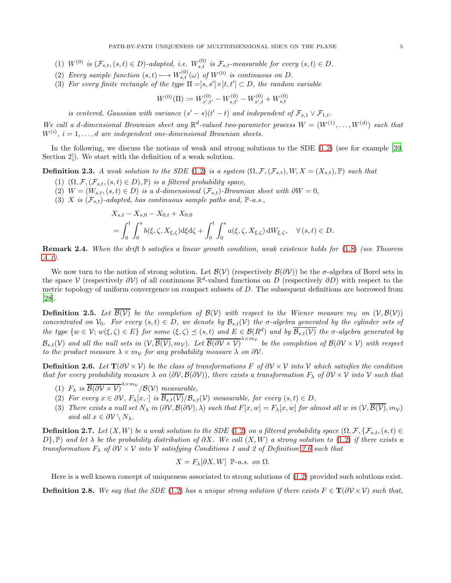- (1)  $W^{(0)}$  is  $(\mathcal{F}_{s,t}, (s,t) \in D)$ -adapted, i.e.  $W_{s,t}^{(0)}$  is  $\mathcal{F}_{s,t}$ -measurable for every  $(s,t) \in D$ .
- (2) Every sample function  $(s, t) \longmapsto W_{s,t}^{(0)}(\omega)$  of  $W^{(0)}$  is continuous on D.
- (3) For every finite rectangle of the type  $\Pi = [s, s'] \times [t, t'] \subset D$ , the random variable

$$
W^{(0)}(\Pi) := W_{s',t'}^{(0)} - W_{s,t'}^{(0)} - W_{s',t}^{(0)} + W_{s,t}^{(0)}
$$

is centered, Gaussian with variance  $(s'-s)(t'-t)$  and independent of  $\mathcal{F}_{s,1} \vee \mathcal{F}_{1,t}$ .

We call a d-dimensional Brownian sheet any  $\mathbb{R}^d$ -valued two-parameter process  $W = (W^{(1)}, \ldots, W^{(d)})$  such that  $W^{(i)}$ ,  $i = 1, \ldots, d$  are independent one-dimensional Brownian sheets.

In the following, we discuss the notions of weak and strong solutions to the SDE [\(1.2\)](#page-0-1) (see for example [\[39,](#page-23-2) Section 2]). We start with the definition of a weak solution.

**Definition 2.3.** A weak solution to the SDE [\(1.2\)](#page-0-1) is a system  $(\Omega, \mathcal{F}, (\mathcal{F}_{s,t}), W, X = (X_{s,t}), \mathbb{P})$  such that

- (1)  $(\Omega, \mathcal{F}, (\mathcal{F}_{s,t}, (s,t) \in D), \mathbb{P})$  is a filtered probability space,
- (2)  $W = (W_{s,t}, (s,t) \in D)$  is a d-dimensional  $(\mathcal{F}_{s,t})$ -Brownian sheet with  $\partial W = 0$ ,
- (3) X is  $(\mathcal{F}_{s,t})$ -adapted, has continuous sample paths and, P-a.s.,

$$
X_{s,t} - X_{s,0} - X_{0,t} + X_{0,0}
$$
  
=  $\int_0^t \int_0^s b(\xi, \zeta, X_{\xi,\zeta}) d\xi d\zeta + \int_0^t \int_0^s a(\xi, \zeta, X_{\xi,\zeta}) dW_{\xi,\zeta}, \quad \forall (s,t) \in D.$ 

Remark 2.4. When the drift b satisfies a linear growth condition, weak existence holds for [\(1.8\)](#page-2-0) (see Theorem [A.1\)](#page-21-0).

We now turn to the notion of strong solution. Let  $\mathcal{B}(V)$  (respectively  $\mathcal{B}(\partial V)$ ) be the  $\sigma$ -algebra of Borel sets in the space  $\mathcal V$  (respectively  $\partial \mathcal V$ ) of all continuous  $\mathbb R^d$ -valued functions on D (respectively  $\partial D$ ) with respect to the metric topology of uniform convergence on compact subsets of  $D$ . The subsequent definitions are borrowed from [\[28](#page-23-9)].

**Definition 2.5.** Let  $\overline{B(V)}$  be the completion of  $B(V)$  with respect to the Wiener measure  $m_V$  on  $(V, B(V))$ concentrated on  $V_0$ . For every  $(s, t) \in D$ , we denote by  $\mathcal{B}_{s,t}(V)$  the  $\sigma$ -algebra generated by the cylinder sets of the type  $\{w \in \mathcal{V}; w(\xi, \zeta) \in E\}$  for some  $(\xi, \zeta) \preceq (s, t)$  and  $E \in \mathcal{B}(R^d)$  and by  $\overline{\mathcal{B}_{s,t}(\mathcal{V})}$  the  $\sigma$ -algebra generated by  $\mathcal{B}_{s,t}(\mathcal{V})$  and all the null sets in  $(\mathcal{V}, \overline{\mathcal{B}(\mathcal{V})}, m_{\mathcal{V}})$ . Let  $\overline{\mathcal{B}(\partial \mathcal{V} \times \mathcal{V})}^{\lambda \times m_{\mathcal{V}}}$  be the completion of  $\mathcal{B}(\partial \mathcal{V} \times \mathcal{V})$  with respect to the product measure  $\lambda \times m_{\mathcal{V}}$  for any probability measure  $\lambda$  on  $\partial \mathcal{V}$ .

<span id="page-4-0"></span>**Definition 2.6.** Let  $T(\partial V \times V)$  be the class of transformations F of  $\partial V \times V$  into V which satisfies the condition that for every probability measure  $\lambda$  on  $(\partial V, \mathcal{B}(\partial V))$ , there exists a transformation  $F_\lambda$  of  $\partial V \times V$  into V such that

- (1)  $F_{\lambda}$  is  $\overline{\mathcal{B}(\partial \mathcal{V} \times \mathcal{V})}^{\lambda \times m_{\mathcal{V}}}$  / $\mathcal{B}(\mathcal{V})$  measurable,
- (2) For every  $x \in \partial \mathcal{V}$ ,  $F_{\lambda}[x, \cdot]$  is  $\overline{\mathcal{B}_{s,t}(\mathcal{V})}/\mathcal{B}_{s,t}(\mathcal{V})$  measurable, for every  $(s, t) \in D$ ,
- (3) There exists a null set  $N_{\lambda}$  in  $(\partial V, \mathcal{B}(\partial V), \lambda)$  such that  $F[x, w] = F_{\lambda}[x, w]$  for almost all w in  $(V, \overline{\mathcal{B}(V)}, m_V)$ and all  $x \in \partial \mathcal{V} \setminus N_{\lambda}$ .

**Definition 2.7.** Let  $(X, W)$  be a weak solution to the SDE [\(1.2\)](#page-0-1) on a filtered probability space  $(\Omega, \mathcal{F}, \{\mathcal{F}_{s,t},(s,t) \in \mathcal{F}_{s,t}\})$  $D$ }, P) and let  $\lambda$  be the probability distribution of  $\partial X$ . We call  $(X, W)$  a strong solution to [\(1.2\)](#page-0-1) if there exists a transformation  $F_\lambda$  of  $\partial V \times V$  into V satisfying Conditions 1 and 2 of Definition [2.6](#page-4-0) such that

$$
X = F_{\lambda}[\partial X, W] \; \mathbb{P}\text{-}a.s. \text{ on } \Omega.
$$

Here is a well known concept of uniqueness associated to strong solutions of [\(1.2\)](#page-0-1) provided such solutions exist.

**Definition 2.8.** We say that the SDE [\(1.2\)](#page-0-1) has a unique strong solution if there exists  $F \in T(\partial V \times V)$  such that,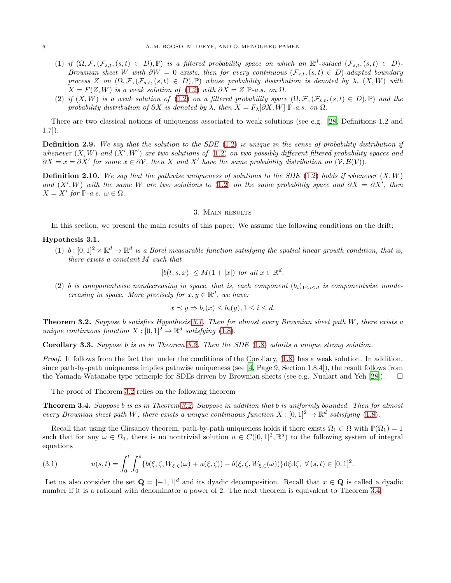- (1) if  $(\Omega, \mathcal{F}, (\mathcal{F}_{s,t},(s,t) \in D), \mathbb{P})$  is a filtered probability space on which an  $\mathbb{R}^d$ -valued  $(\mathcal{F}_{s,t},(s,t) \in D)$ -Brownian sheet W with  $\partial W = 0$  exists, then for every continuous  $(\mathcal{F}_{s,t},(s,t) \in D)$ -adapted boundary process Z on  $(\Omega, \mathcal{F}, (\mathcal{F}_{s,t},(s,t) \in D), \mathbb{P})$  whose probability distribution is denoted by  $\lambda$ ,  $(X, W)$  with  $X = F(Z, W)$  is a weak solution of [\(1.2\)](#page-0-1) with  $\partial X = Z \mathbb{P}$ -a.s. on  $\Omega$ .
- (2) if  $(X, W)$  is a weak solution of [\(1.2\)](#page-0-1) on a filtered probability space  $(\Omega, \mathcal{F}, (\mathcal{F}_{s,t},(s,t) \in D), \mathbb{P})$  and the probability distribution of  $\partial X$  is denoted by  $\lambda$ , then  $X = F_{\lambda}[\partial X, W]$  P-a.s. on  $\Omega$ .

There are two classical notions of uniqueness associated to weak solutions (see e.g. [\[28,](#page-23-9) Definitions 1.2 and 1.7]).

**Definition 2.9.** We say that the solution to the SDE  $(1.2)$  is unique in the sense of probability distribution if whenever  $(X, W)$  and  $(X', W')$  are two solutions of  $(1.2)$  on two possibly different filtered probability spaces and  $\partial X = x = \partial X'$  for some  $x \in \partial V$ , then X and X' have the same probability distribution on  $(\mathcal{V}, \mathcal{B}(\mathcal{V}))$ .

**Definition 2.10.** We say that the pathwise uniqueness of solutions to the SDE [\(1.2\)](#page-0-1) holds if whenever  $(X, W)$ and  $(X', W)$  with the same W are two solutions to [\(1.2\)](#page-0-1) on the same probability space and  $\partial X = \partial X'$ , then  $X = X'$  for  $\mathbb{P}\text{-}a.e.$   $\omega \in \Omega$ .

#### 3. Main results

<span id="page-5-2"></span>In this section, we present the main results of this paper. We assume the following conditions on the drift:

### <span id="page-5-3"></span>Hypothesis 3.1.

(1) b:  $[0,1]^2 \times \mathbb{R}^d \to \mathbb{R}^d$  is a Borel measurable function satisfying the spatial linear growth condition, that is, there exists a constant M such that

$$
|b(t,s,x)| \le M(1+|x|) \text{ for all } x \in \mathbb{R}^d.
$$

(2) b is componentwise nondecreasing in space, that is, each component  $(b_i)_{1\leq i\leq d}$  is componentwise nondecreasing in space. More precisely for  $x, y \in \mathbb{R}^d$ , we have:

$$
x \preceq y \Rightarrow b_i(x) \le b_i(y), 1 \le i \le d.
$$

<span id="page-5-1"></span>**Theorem 3.2.** Suppose b satisfies Hypothesis [3.1.](#page-5-3) Then for almost every Brownian sheet path  $W$ , there exists a unique continuous function  $X : [0,1]^2 \to \mathbb{R}^d$  satisfying [\(1.8\)](#page-2-0).

Corollary 3.3. Suppose b is as in Theorem [3.2.](#page-5-1) Then the SDE [\(1.8\)](#page-2-0) admits a unique strong solution.

Proof. It follows from the fact that under the conditions of the Corollary, [\(1.8\)](#page-2-0) has a weak solution. In addition, since path-by-path uniqueness implies pathwise uniqueness (see [\[4,](#page-22-7) Page 9, Section 1.8.4]), the result follows from the Yamada-Watanabe type principle for SDEs driven by Brownian sheets (see e.g. Nualart and Yeh [\[28\]](#page-23-9)).  $\square$ 

The proof of Theorem [3.2](#page-5-1) relies on the following theorem

<span id="page-5-0"></span>Theorem 3.4. Suppose b is as in Theorem [3.2.](#page-5-1) Suppose in addition that b is uniformly bounded. Then for almost every Brownian sheet path W, there exists a unique continuous function  $X : [0,1]^2 \to \mathbb{R}^d$  satisfying [\(1.8\)](#page-2-0).

Recall that using the Girsanov theorem, path-by-path uniqueness holds if there exists  $\Omega_1 \subset \Omega$  with  $\mathbb{P}(\Omega_1) = 1$ such that for any  $\omega \in \Omega_1$ , there is no nontrivial solution  $u \in C([0,1]^2, \mathbb{R}^d)$  to the following system of integral equations

<span id="page-5-4"></span>(3.1) 
$$
u(s,t) = \int_0^t \int_0^s \{b(\xi,\zeta,W_{\xi,\zeta}(\omega) + u(\xi,\zeta)) - b(\xi,\zeta,W_{\xi,\zeta}(\omega))\}d\xi d\zeta, \ \forall (s,t) \in [0,1]^2.
$$

Let us also consider the set  $\mathbf{Q} = [-1, 1]^d$  and its dyadic decomposition. Recall that  $x \in \mathbf{Q}$  is called a dyadic number if it is a rational with denominator a power of 2. The next theorem is equivalent to Theorem [3.4.](#page-5-0)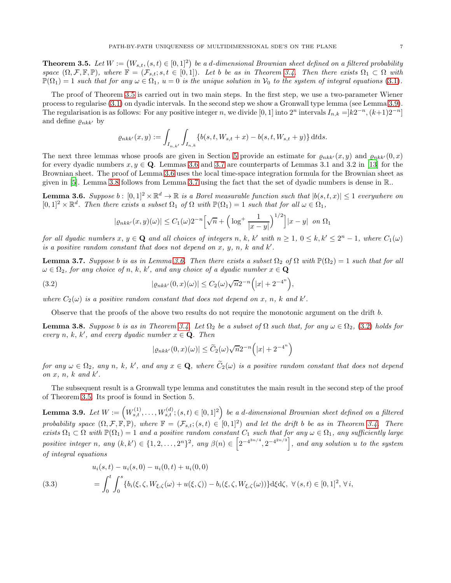<span id="page-6-2"></span>**Theorem 3.5.** Let  $W := (W_{s,t}, (s,t) \in [0,1]^2)$  be a d-dimensional Brownian sheet defined on a filtered probability space  $(\Omega, \mathcal{F}, \mathbb{F}, \mathbb{P})$ , where  $\mathbb{F} = (\mathcal{F}_{s,t}; s,t \in [0,1])$ . Let b be as in Theorem [3.4.](#page-5-0) Then there exists  $\Omega_1 \subset \Omega$  with  $\mathbb{P}(\Omega_1) = 1$  such that for any  $\omega \in \Omega_1$ ,  $u = 0$  is the unique solution in  $\mathcal{V}_0$  to the system of integral equations [\(3.1\)](#page-5-4).

The proof of Theorem [3.5](#page-6-2) is carried out in two main steps. In the first step, we use a two-parameter Wiener process to regularise [\(3.1\)](#page-5-4) on dyadic intervals. In the second step we show a Gronwall type lemma (see Lemma [3.9\)](#page-6-1). The regularisation is as follows: For any positive integer n, we divide [0, 1] into  $2^n$  intervals  $I_{n,k} = ]k2^{-n}, (k+1)2^{-n}]$ and define  $\varrho_{nkk'}$  by

$$
\varrho_{nkk'}(x,y) := \int_{I_{n,k'}} \int_{I_{n,k}} \{b(s,t,W_{s,t}+x)-b(s,t,W_{s,t}+y)\} \, \mathrm{d}t \mathrm{d}s.
$$

The next three lemmas whose proofs are given in Section [5](#page-14-0) provide an estimate for  $\varrho_{nkk'}(x,y)$  and  $\varrho_{nkk'}(0,x)$ for every dyadic numbers  $x, y \in \mathbf{Q}$ . Lemmas [3.6](#page-6-0) and [3.7](#page-6-3) are counterparts of Lemmas 3.1 and 3.2 in [\[13\]](#page-22-5) for the Brownian sheet. The proof of Lemma [3.6](#page-6-0) uses the local time-space integration formula for the Brownian sheet as given in [\[5\]](#page-22-18). Lemma [3.8](#page-6-4) follows from Lemma [3.7](#page-6-3) using the fact that the set of dyadic numbers is dense in R..

<span id="page-6-0"></span>**Lemma 3.6.** Suppose  $b: [0,1]^2 \times \mathbb{R}^d \to \mathbb{R}$  is a Borel measurable function such that  $|b(s,t,x)| \leq 1$  everywhere on  $[0,1]^2 \times \mathbb{R}^d$ . Then there exists a subset  $\Omega_1$  of  $\Omega$  with  $\mathbb{P}(\Omega_1) = 1$  such that for all  $\omega \in \Omega_1$ ,

$$
|\varrho_{nkk'}(x,y)(\omega)| \le C_1(\omega)2^{-n} \Big[\sqrt{n} + \Big(\log^+\frac{1}{|x-y|}\Big)^{1/2}\Big]|x-y| \text{ on } \Omega_1
$$

for all dyadic numbers  $x, y \in \mathbf{Q}$  and all choices of integers  $n, k, k'$  with  $n \geq 1, 0 \leq k, k' \leq 2^n - 1$ , where  $C_1(\omega)$ is a positive random constant that does not depend on  $x, y, n, k$  and  $k'$ .

<span id="page-6-3"></span>**Lemma 3.7.** Suppose b is as in Lemma [3.6.](#page-6-0) Then there exists a subset  $\Omega_2$  of  $\Omega$  with  $\mathbb{P}(\Omega_2) = 1$  such that for all  $\omega \in \Omega_2$ , for any choice of n, k, k', and any choice of a dyadic number  $x \in \mathbf{Q}$ 

<span id="page-6-5"></span>(3.2) 
$$
|\varrho_{nkk'}(0,x)(\omega)| \leq C_2(\omega)\sqrt{n}2^{-n}(|x| + 2^{-4^n}),
$$

where  $C_2(\omega)$  is a positive random constant that does not depend on x, n, k and k'.

Observe that the proofs of the above two results do not require the monotonic argument on the drift b.

<span id="page-6-4"></span>**Lemma 3.8.** Suppose b is as in Theorem [3.4.](#page-5-0) Let  $\Omega_2$  be a subset of  $\Omega$  such that, for any  $\omega \in \Omega_2$ , [\(3.2\)](#page-6-5) holds for every n, k, k', and every dyadic number  $x \in \mathbf{Q}$ . Then

$$
|\varrho_{nkk'}(0,x)(\omega)| \le \widetilde{C}_2(\omega)\sqrt{n}2^{-n} (|x| + 2^{-4^n})
$$

for any  $\omega \in \Omega_2$ , any n, k, k', and any  $x \in \mathbf{Q}$ , where  $\widetilde{C}_2(\omega)$  is a positive random constant that does not depend on  $x, n, k$  and  $k'$ .

The subsequent result is a Gronwall type lemma and constitutes the main result in the second step of the proof of Theorem [3.5.](#page-6-2) Its proof is found in Section 5.

<span id="page-6-1"></span>Lemma 3.9. Let  $W:=\left(W_{s,t}^{(1)},\ldots,W_{s,t}^{(d)}; (s,t)\in [0,1]^2\right)$  be a d-dimensional Brownian sheet defined on a filtered probability space  $(\Omega, \mathcal{F}, \mathbb{F}, \mathbb{P})$ , where  $\mathbb{F} = (\mathcal{F}_{s,t}; (s,t) \in [0,1]^2)$  and let the drift b be as in Theorem [3.4.](#page-5-0) There exists  $\Omega_1 \subset \Omega$  with  $\mathbb{P}(\Omega_1) = 1$  and a positive random constant  $C_1$  such that for any  $\omega \in \Omega_1$ , any sufficiently large positive integer n, any  $(k, k') \in \{1, 2, ..., 2^n\}^2$ , any  $\beta(n) \in \left[2^{-4^{3n/4}}, 2^{-4^{2n/3}}\right]$ , and any solution u to the system of integral equations

<span id="page-6-6"></span>(3.3) 
$$
u_i(s,t) - u_i(s,0) - u_i(0,t) + u_i(0,0) = \int_0^t \int_0^s \{b_i(\xi,\zeta,W_{\xi,\zeta}(\omega) + u(\xi,\zeta)) - b_i(\xi,\zeta,W_{\xi,\zeta}(\omega))\}d\xi d\zeta, \ \forall (s,t) \in [0,1]^2, \ \forall i,
$$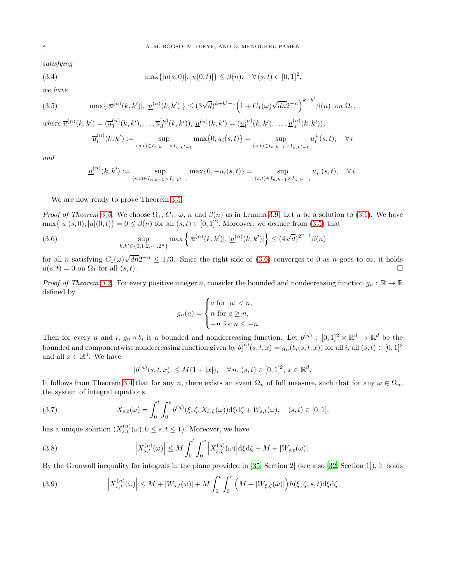satisfying

(3.4) 
$$
\max\{|u(s,0)|, |u(0,t)|\} \leq \beta(n), \quad \forall (s,t) \in [0,1]^2,
$$

we have

<span id="page-7-0"></span>(3.5) 
$$
\max\{|\overline{u}^{(n)}(k,k')|,|\underline{u}^{(n)}(k,k')|\}\leq (3\sqrt{d})^{k+k'-1}\left(1+C_1(\omega)\sqrt{dn}2^{-n}\right)^{k+k'}\beta(n) \text{ on } \Omega_1,
$$

where  $\bar{u}^{(n)}(k, k') = (\bar{u}_1^{(n)}(k, k'), \dots, \bar{u}_d^{(n)})$  $\frac{d^{(n)}(k,k')}{dt}(k,k') = (\underline{u}_1^{(n)}(k,k'),\ldots,\underline{u}_d^{(n)})$  $\binom{n}{d}(k, k')$ ,

<span id="page-7-3"></span>
$$
\overline{u}_i^{(n)}(k,k') := \sup_{(s,t)\in I_{n,k-1}\times I_{n,k'-1}} \max\{0, u_i(s,t)\} = \sup_{(s,t)\in I_{n,k-1}\times I_{n,k'-1}} u_i^+(s,t), \quad \forall i
$$

and

$$
\underline{u}_i^{(n)}(k,k') := \sup_{(s,t)\in I_{n,k-1}\times I_{n,k'-1}} \max\{0, -u_i(s,t)\} = \sup_{(s,t)\in I_{n,k-1}\times I_{n,k'-1}} u_i^-(s,t), \quad \forall i.
$$

We are now ready to prove Theorem [3.5.](#page-6-2)

*Proof of Theorem [3.5.](#page-6-2)* We choose  $\Omega_1$ ,  $C_1$ ,  $\omega$ , n and  $\beta(n)$  as in Lemma [3.9.](#page-6-1) Let u be a solution to [\(3.1\)](#page-5-4). We have  $\max\{|u|(s,0), |u|(0,t)\} = 0 \leq \beta(n)$  for all  $(s,t) \in [0,1]^2$ . Moreover, we deduce from [\(3.5\)](#page-7-0) that

<span id="page-7-1"></span>(3.6) 
$$
\sup_{k,k'\in\{0,1,2,\cdots,2^n\}} \max\left\{|\overline{u}^{(n)}(k,k')|,|\underline{u}^{(n)}(k,k')|\right\} \leq (4\sqrt{d})^{2^{n+1}}\beta(n)
$$

for all n satisfying  $C_1(\omega)\sqrt{dn}2^{-n} \leq 1/3$ . Since the right side of [\(3.6\)](#page-7-1) converges to 0 as n goes to  $\infty$ , it holds  $u(s,t) = 0$  on  $\Omega_1$  for all  $(s,t)$ .

*Proof of Theorem [3.2.](#page-5-1)* For every positive integer n, consider the bounded and nondecreasing function  $g_n : \mathbb{R} \to \mathbb{R}$ defined by

$$
g_n(a) = \begin{cases} a \text{ for } |a| < n, \\ n \text{ for } a \ge n, \\ -n \text{ for } a \le -n. \end{cases}
$$

Then for every n and i,  $g_n \circ b_i$  is a bounded and nondecreasing function. Let  $b^{(n)} : [0,1]^2 \times \mathbb{R}^d \to \mathbb{R}^d$  be the bounded and componentwise nondecreasing function given by  $b_i^{(n)}(s,t,x) = g_n(b_i(s,t,x))$  for all i, all  $(s,t) \in [0,1]^2$ and all  $x \in \mathbb{R}^d$ . We have

$$
|b^{(n)}(s,t,x)| \le M(1+|x|), \quad \forall n, (s,t) \in [0,1]^2, x \in \mathbb{R}^d.
$$

It follows from Theorem [3.4](#page-5-0) that for any n, there exists an event  $\Omega_n$  of full measure, such that for any  $\omega \in \Omega_n$ , the system of integral equations

<span id="page-7-2"></span>(3.7) 
$$
X_{s,t}(\omega) = \int_0^t \int_0^s b^{(n)}(\xi, \zeta, X_{\xi,\zeta}(\omega)) d\xi d\zeta + W_{s,t}(\omega), \quad (s,t) \in [0,1],
$$

has a unique solution  $(X_{s,t}^{(n)}(\omega), 0 \leq s, t \leq 1)$ . Moreover, we have

(3.8) 
$$
\left|X_{s,t}^{(n)}(\omega)\right| \leq M \int_0^t \int_0^s \left|X_{\xi,\zeta}^{(n)}(\omega)\right| d\xi d\zeta + M + |W_{s,t}(\omega)|.
$$

By the Gronwall inequality for integrals in the plane provided in [\[35](#page-23-12), Section 2] (see also [\[32,](#page-23-13) Section 1]), it holds

(3.9) 
$$
\left| X_{s,t}^{(n)}(\omega) \right| \leq M + |W_{s,t}(\omega)| + M \int_0^t \int_0^s \left( M + |W_{\xi,\zeta}(\omega)| \right) h(\xi,\zeta,s,t) d\xi d\zeta
$$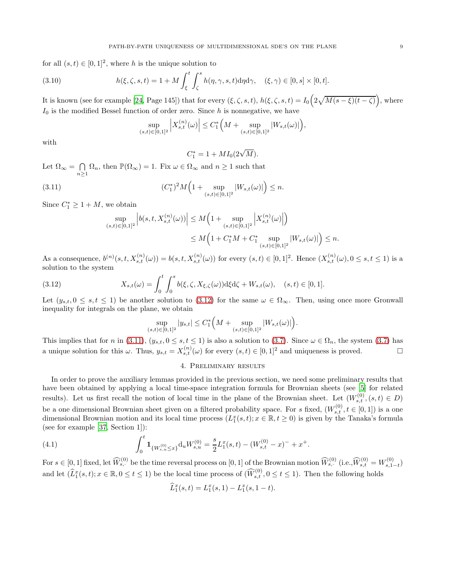for all  $(s, t) \in [0, 1]^2$ , where h is the unique solution to

(3.10) 
$$
h(\xi,\zeta,s,t) = 1 + M \int_{\xi}^{t} \int_{\zeta}^{s} h(\eta,\gamma,s,t) d\eta d\gamma, \quad (\xi,\gamma) \in [0,s] \times [0,t].
$$

It is known (see for example [\[24,](#page-22-19) Page 145]) that for every  $(\xi, \zeta, s, t)$ ,  $h(\xi, \zeta, s, t) = I_0\left(2\sqrt{M(s-\xi)(t-\zeta)}\right)$ , where  $I_0$  is the modified Bessel function of order zero. Since h is nonnegative, we have

$$
\sup_{(s,t)\in [0,1]^2} \Big|X_{s,t}^{(n)}\big(\omega\big)\Big| \leq C_1^*\Big(M + \sup_{(s,t)\in [0,1]^2} |W_{s,t}(\omega)|\Big),
$$

with

$$
C_1^* = 1 + MI_0(2\sqrt{M}).
$$

Let  $\Omega_{\infty} = \bigcap$  $\bigcap_{n\geq 1} \Omega_n$ , then  $\mathbb{P}(\Omega_{\infty}) = 1$ . Fix  $\omega \in \Omega_{\infty}$  and  $n \geq 1$  such that

<span id="page-8-2"></span>(3.11) 
$$
(C_1^*)^2 M \Big( 1 + \sup_{(s,t) \in [0,1]^2} |W_{s,t}(\omega)| \Big) \le n.
$$

Since  $C_1^* \geq 1 + M$ , we obtain

$$
\sup_{(s,t)\in[0,1]^2} \left| b(s,t,X_{s,t}^{(n)}(\omega)) \right| \leq M \Big( 1 + \sup_{(s,t)\in[0,1]^2} \left| X_{s,t}^{(n)}(\omega) \right| \Big) \n\leq M \Big( 1 + C_1^* M + C_1^* \sup_{(s,t)\in[0,1]^2} |W_{s,t}(\omega)| \Big) \leq n.
$$

As a consequence,  $b^{(n)}(s,t,X_{s,t}^{(n)}(\omega)) = b(s,t,X_{s,t}^{(n)}(\omega))$  for every  $(s,t) \in [0,1]^2$ . Hence  $(X_{s,t}^{(n)}(\omega), 0 \le s,t \le 1)$  is a solution to the system

<span id="page-8-1"></span>(3.12) 
$$
X_{s,t}(\omega) = \int_0^t \int_0^s b(\xi, \zeta, X_{\xi, \zeta}(\omega)) d\xi d\zeta + W_{s,t}(\omega), \quad (s, t) \in [0, 1].
$$

Let  $(y_{s,t}, 0 \leq s,t \leq 1)$  be another solution to [\(3.12\)](#page-8-1) for the same  $\omega \in \Omega_{\infty}$ . Then, using once more Gronwall inequality for integrals on the plane, we obtain

$$
\sup_{(s,t)\in[0,1]^2}|y_{s,t}|\leq C_1^*\Big(M+\sup_{(s,t)\in[0,1]^2}|W_{s,t}(\omega)|\Big).
$$

<span id="page-8-0"></span>This implies that for n in [\(3.11\)](#page-8-2),  $(y_{s,t}, 0 \le s,t \le 1)$  is also a solution to [\(3.7\)](#page-7-2). Since  $\omega \in \Omega_n$ , the system (3.7) has a unique solution for this  $\omega$ . Thus,  $y_{s,t} = X_{s,t}^{(n)}(\omega)$  for every  $(s,t) \in [0,1]^2$  and uniqueness is proved.

# 4. Preliminary results

In order to prove the auxiliary lemmas provided in the previous section, we need some preliminary results that have been obtained by applying a local time-space integration formula for Brownian sheets (see [\[5\]](#page-22-18) for related results). Let us first recall the notion of local time in the plane of the Brownian sheet. Let  $(W_{s,t}^{(0)}, (s,t) \in D)$ be a one dimensional Brownian sheet given on a filtered probability space. For s fixed,  $(W_{s,t}^{(0)}, t \in [0,1])$  is a one dimensional Brownian motion and its local time process  $(L_1^x(s,t); x \in \mathbb{R}, t \ge 0)$  is given by the Tanaka's formula (see for example [\[37,](#page-23-1) Section 1]):

(4.1) 
$$
\int_0^t \mathbf{1}_{\{W_{s,u}^{(0)} \leq x\}} \mathrm{d}_u W_{s,u}^{(0)} = \frac{s}{2} L_1^x(s,t) - (W_{s,t}^{(0)} - x)^- + x^+.
$$

For  $s \in [0, 1]$  fixed, let  $\widehat{W}_{s, \cdot}^{(0)}$  be the time reversal process on  $[0, 1]$  of the Brownian motion  $\widehat{W}_{s, \cdot}^{(0)}$  (i.e.,  $\widehat{W}_{s, t}^{(0)} = W_{s, 1-t}^{(0)}$ ) and let  $(\widehat{L}_1^x(s,t); x \in \mathbb{R}, 0 \le t \le 1)$  be the local time process of  $(\widehat{W}_{s,t}^{(0)}, 0 \le t \le 1)$ . Then the following holds

$$
\widehat{L}_1^x(s,t) = L_1^x(s,1) - L_1^x(s,1-t).
$$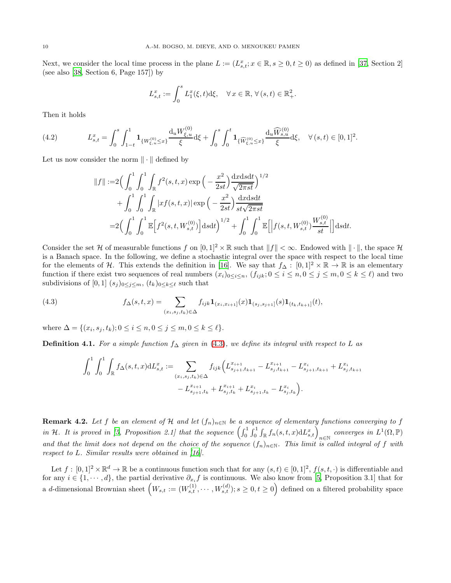Next, we consider the local time process in the plane  $L := (L_{s,t}^x; x \in \mathbb{R}, s \ge 0, t \ge 0)$  as defined in [\[37](#page-23-1), Section 2] (see also [\[38](#page-23-14), Section 6, Page 157]) by

$$
L_{s,t}^x := \int_0^s L_1^x(\xi, t) \mathrm{d}\xi, \quad \forall \, x \in \mathbb{R}, \, \forall \, (s, t) \in \mathbb{R}_+^2.
$$

Then it holds

$$
(4.2) \t\t L_{s,t}^x = \int_0^s \int_{1-t}^1 \mathbf{1}_{\{W_{\xi,u}^{(0)} \le x\}} \frac{\mathrm{d}_u W_{\xi,u}^{(0)}}{\xi} \mathrm{d}\xi + \int_0^s \int_0^t \mathbf{1}_{\{\widehat{W}_{\xi,u}^{(0)} \le x\}} \frac{\mathrm{d}_u \widehat{W}_{s,u}^{(0)}}{\xi} \mathrm{d}\xi, \quad \forall (s,t) \in [0,1]^2.
$$

Let us now consider the norm  $\|\cdot\|$  defined by

$$
||f|| := 2\left(\int_0^1 \int_0^1 \int_{\mathbb{R}} f^2(s, t, x) \exp\left(-\frac{x^2}{2st}\right) \frac{\mathrm{d}x \mathrm{d}s \mathrm{d}t}{\sqrt{2\pi st}}\right)^{1/2} + \int_0^1 \int_0^1 \int_{\mathbb{R}} |xf(s, t, x)| \exp\left(-\frac{x^2}{2st}\right) \frac{\mathrm{d}x \mathrm{d}s \mathrm{d}t}{st\sqrt{2\pi st}} = 2\left(\int_0^1 \int_0^1 \mathbb{E}\left[f^2(s, t, W_{s, t}^{(0)})\right] \mathrm{d}s \mathrm{d}t\right)^{1/2} + \int_0^1 \int_0^1 \mathbb{E}\left[\left|f(s, t, W_{s, t}^{(0)})\frac{W_{s, t}^{(0)}}{st}\right|\right] \mathrm{d}s \mathrm{d}t.
$$

Consider the set H of measurable functions f on  $[0,1]^2 \times \mathbb{R}$  such that  $||f|| < \infty$ . Endowed with  $|| \cdot ||$ , the space H is a Banach space. In the following, we define a stochastic integral over the space with respect to the local time for the elements of H. This extends the definition in [\[16\]](#page-22-20). We say that  $f_{\Delta}: [0,1]^2 \times \mathbb{R} \to \mathbb{R}$  is an elementary function if there exist two sequences of real numbers  $(x_i)_{0\leq i\leq n}$ ,  $(f_{ijk}; 0\leq i\leq n, 0\leq j\leq m, 0\leq k\leq \ell)$  and two subdivisions of [0, 1]  $(s_j)_{0 \leq j \leq m}$ ,  $(t_k)_{0 \leq k \leq \ell}$  such that

<span id="page-9-0"></span>(4.3) 
$$
f_{\Delta}(s,t,x) = \sum_{(x_i,s_j,t_k)\in\Delta} f_{ijk} \mathbf{1}_{(x_i,x_{i+1}]}(x) \mathbf{1}_{(s_j,s_{j+1}]}(s) \mathbf{1}_{(t_k,t_{k+1}]}(t),
$$

where  $\Delta = \{(x_i, s_j, t_k); 0 \le i \le n, 0 \le j \le m, 0 \le k \le \ell\}.$ 

**Definition 4.1.** For a simple function  $f_{\Delta}$  given in [\(4.3\)](#page-9-0), we define its integral with respect to L as

$$
\int_0^1 \int_0^1 \int_{\mathbb{R}} f_{\Delta}(s, t, x) dL_{s, t}^x := \sum_{\substack{(x_i, s_j, t_k) \in \Delta \\ -L_{s_j+1, t_k}}^{\tilde{x}_{i+1}}} f_{ijk} \Big( L_{s_{j+1}, t_{k+1}}^{\tilde{x}_{i+1}} - L_{s_j, t_{k+1}}^{\tilde{x}_{i+1}} - L_{s_{j+1}, t_{k+1}}^{\tilde{x}_i} + L_{s_j, t_{k+1}}^{\tilde{x}_i} + L_{s_j, t_k}^{\tilde{x}_{i+1}} \Big).
$$

**Remark 4.2.** Let f be an element of H and let  $(f_n)_{n\in\mathbb{N}}$  be a sequence of elementary functions converging to f in H. It is proved in [\[5,](#page-22-18) Proposition 2.1] that the sequence  $\left(\int_0^1 \int_0^1 \int_{\mathbb{R}} f_n(s,t,x) dL_{s,t}^x\right)_{n\in\mathbb{N}}$  converges in  $L^1(\Omega,\mathbb{P})$ and that the limit does not depend on the choice of the sequence  $(f_n)_{n\in\mathbb{N}}$ . This limit is called integral of f with respect to  $L$ . Similar results were obtained in [\[16\]](#page-22-20).

Let  $f : [0,1]^2 \times \mathbb{R}^d \to \mathbb{R}$  be a continuous function such that for any  $(s,t) \in [0,1]^2$ ,  $f(s,t,\cdot)$  is differentiable and for any  $i \in \{1, \dots, d\}$ , the partial derivative  $\partial_{x_i} f$  is continuous. We also know from [\[5,](#page-22-18) Proposition 3.1] that for a d-dimensional Brownian sheet  $(W_{s,t} := (W_{s,t}^{(1)}, \cdots, W_{s,t}^{(d)}); s \ge 0, t \ge 0)$  defined on a filtered probability space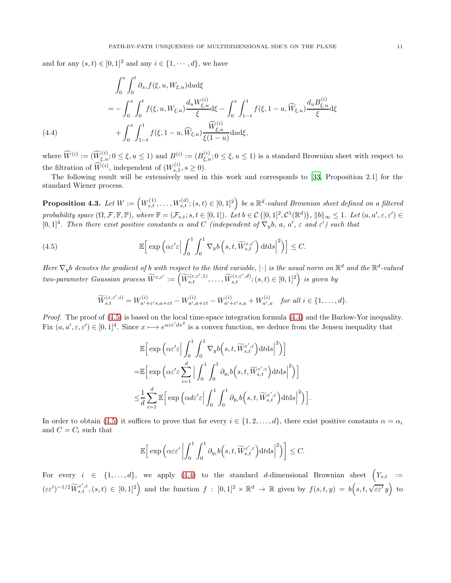and for any  $(s, t) \in [0, 1]^2$  and any  $i \in \{1, \dots, d\}$ , we have

$$
\int_{0}^{s} \int_{0}^{t} \partial_{x_{i}} f(\xi, u, W_{\xi, u}) \, du \, d\xi
$$
\n
$$
= - \int_{0}^{s} \int_{0}^{t} f(\xi, u, W_{\xi, u}) \frac{d_{u} W_{\xi, u}^{(i)}}{\xi} d\xi - \int_{0}^{s} \int_{1-t}^{1} f(\xi, 1-u, \widehat{W}_{\xi, u}) \frac{d_{u} B_{\xi, u}^{(i)}}{\xi} d\xi
$$
\n
$$
+ \int_{0}^{s} \int_{1-t}^{1} f(\xi, 1-u, \widehat{W}_{\xi, u}) \frac{\widehat{W}_{\xi, u}^{(i)}}{\xi(1-u)} \, du \, d\xi,
$$
\n(4.4)

<span id="page-10-1"></span>where  $\widehat{W}^{(i)} := (\widehat{W}_{\xi,u}^{(i)}; 0 \leq \xi, u \leq 1)$  and  $B^{(i)} := (B_{\xi,u}^{(i)}; 0 \leq \xi, u \leq 1)$  is a standard Brownian sheet with respect to the filtration of  $\widehat{W}^{(i)}$ , independent of  $(W_{s,1}^{(i)}, s \ge 0)$ .

The following result will be extensively used in this work and corresponds to [\[33,](#page-23-15) Proposition 2.1] for the standard Wiener process.

<span id="page-10-2"></span> $\textbf{Proposition 4.3.} \ \textit{Let} \ W := \left( W_{s,t}^{(1)}, \ldots, W_{s,t}^{(d)}; (s,t) \in [0,1]^2 \right) \ \textit{be a $\mathbb{R}^d$-valued Brownian sheet defined on a filtered}$ probability space  $(\Omega, \mathcal{F}, \mathbb{F}, \mathbb{P})$ , where  $\mathbb{F} = (\mathcal{F}_{s,t}; s, t \in [0,1])$ . Let  $b \in \mathcal{C}([0,1]^2, \mathcal{C}^1(\mathbb{R}^d))$ ,  $||b||_{\infty} \leq 1$ . Let  $(a, a', \varepsilon, \varepsilon') \in$ [0,1]<sup>4</sup>. Then there exist positive constants  $\alpha$  and  $C$  (independent of  $\nabla_y b$ ,  $a, a', \varepsilon$  and  $\varepsilon'$ ) such that

<span id="page-10-0"></span>(4.5) 
$$
\mathbb{E}\Big[\exp\Big(\alpha \varepsilon' \varepsilon \Big| \int_0^1 \int_0^1 \nabla_y b\left(s, t, \widetilde{W}_{s,t}^{\varepsilon,\varepsilon'}\right) dt ds \Big|^2\Big)\Big] \leq C.
$$

Here  $\nabla_y b$  denotes the gradient of b with respect to the third variable,  $|\cdot|$  is the usual norm on  $\mathbb{R}^d$  and the  $\mathbb{R}^d$ -valued  $two\text{-}parameter \ Gaussian \ process \widetilde{W}^{\varepsilon,\varepsilon'} := \left(\widetilde{W}^{(\varepsilon,\varepsilon',1)}_{s,t},\ldots,\widetilde{W}^{(\varepsilon,\varepsilon',d)}_{s,t}; (s,t) \in [0,1]^2\right) \text{ is given by}$ 

$$
\widetilde{W}_{s,t}^{(\varepsilon,\varepsilon',i)} = W_{a'+\varepsilon's,a+\varepsilon t}^{(i)} - W_{a',a+\varepsilon t}^{(i)} - W_{a'+\varepsilon's,a}^{(i)} + W_{a',a}^{(i)} \quad \text{for all } i \in \{1,\ldots,d\}.
$$

Proof. The proof of [\(4.5\)](#page-10-0) is based on the local time-space integration formula [\(4.4\)](#page-10-1) and the Barlow-Yor inequality. Fix  $(a, a', \varepsilon, \varepsilon') \in [0, 1]^4$ . Since  $x \mapsto e^{\alpha \varepsilon \varepsilon' dx^2}$  is a convex function, we deduce from the Jensen inequality that

$$
\mathbb{E}\Big[\exp\Big(\alpha \varepsilon' \varepsilon \Big| \int_0^1 \int_0^1 \nabla_y b\Big(s, t, \widetilde{W}_{s,t}^{\varepsilon', \varepsilon}\Big) dt ds \Big|^2\Big)\Big]
$$
  
\n
$$
= \mathbb{E}\Big[\exp\Big(\alpha \varepsilon' \varepsilon \sum_{i=1}^d \Big| \int_0^1 \int_0^1 \partial_{y_i} b\Big(s, t, \widetilde{W}_{s,t}^{\varepsilon', \varepsilon}\Big) dt ds \Big|^2\Big)\Big]
$$
  
\n
$$
\leq \frac{1}{d} \sum_{i=1}^d \mathbb{E}\Big[\exp\Big(\alpha d \varepsilon' \varepsilon \Big| \int_0^1 \int_0^1 \partial_{y_i} b\Big(s, t, \widetilde{W}_{s,t}^{\varepsilon', \varepsilon}\Big) dt ds \Big|^2\Big)\Big].
$$

In order to obtain [\(4.5\)](#page-10-0) it suffices to prove that for every  $i \in \{1, 2, ..., d\}$ , there exist positive constants  $\alpha = \alpha_i$ and  $C = C_i$  such that

$$
\mathbb{E}\Big[\exp\Big(\alpha\varepsilon\varepsilon'\left|\int_0^1\int_0^1\partial_{y_i}b\Big(s,t,\widetilde{W}_{s,t}^{\varepsilon',\varepsilon}\Big)\mathrm{d} t\mathrm{d} s\right|^2\Big)\Big]\leq C.
$$

For every  $i \in \{1,\ldots,d\}$ , we apply  $(4.4)$  to the standard d-dimensional Brownian sheet  $\Big(Y_{s,t} \Big) :=$  $(\varepsilon \varepsilon')^{-1/2} \widetilde{W}_{s,t}^{\varepsilon',\varepsilon}, (s,t) \in [0,1]^2$  and the function  $f : [0,1]^2 \times \mathbb{R}^d \to \mathbb{R}$  given by  $f(s,t,y) = b(s,t,\sqrt{\varepsilon \varepsilon'}y)$  to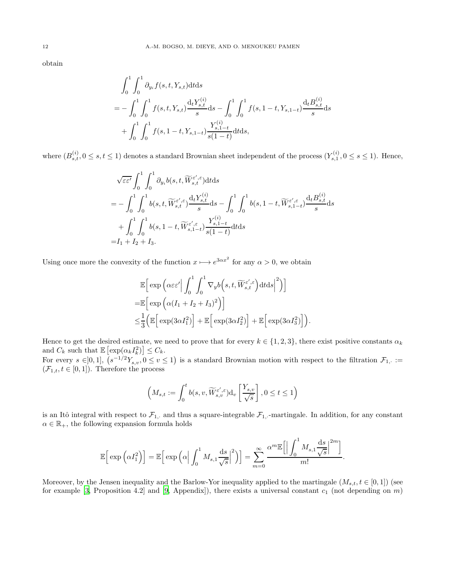obtain

$$
\int_{0}^{1} \int_{0}^{1} \partial_{y_{i}} f(s, t, Y_{s, t}) dt ds
$$
\n
$$
= -\int_{0}^{1} \int_{0}^{1} f(s, t, Y_{s, t}) \frac{d_{t} Y_{s, t}^{(i)}}{s} ds - \int_{0}^{1} \int_{0}^{1} f(s, 1 - t, Y_{s, 1 - t}) \frac{d_{t} B_{s, t}^{(i)}}{s} ds
$$
\n
$$
+ \int_{0}^{1} \int_{0}^{1} f(s, 1 - t, Y_{s, 1 - t}) \frac{Y_{s, 1 - t}^{(i)}}{s(1 - t)} dt ds,
$$

where  $(B_{s,t}^{(i)}, 0 \le s,t \le 1)$  denotes a standard Brownian sheet independent of the process  $(Y_{s,1}^{(i)}, 0 \le s \le 1)$ . Hence,

$$
\sqrt{\varepsilon \varepsilon'} \int_0^1 \int_0^1 \partial_{y_i} b(s, t, \widetilde{W}_{s,t}^{\varepsilon', \varepsilon}) dt ds
$$
\n
$$
= - \int_0^1 \int_0^1 b(s, t, \widetilde{W}_{s,t}^{\varepsilon', \varepsilon}) \frac{d_t Y_{s,t}^{(i)}}{s} ds - \int_0^1 \int_0^1 b(s, 1 - t, \widetilde{W}_{s,1-t}^{\varepsilon', \varepsilon}) \frac{d_t B_{s,t}^{(i)}}{s} ds
$$
\n
$$
+ \int_0^1 \int_0^1 b(s, 1 - t, \widetilde{W}_{s,1-t}^{\varepsilon', \varepsilon}) \frac{Y_{s,1-t}^{(i)}}{s(1-t)} dt ds
$$
\n
$$
= I_1 + I_2 + I_3.
$$

Using once more the convexity of the function  $x \mapsto e^{3\alpha x^2}$  for any  $\alpha > 0$ , we obtain

$$
\mathbb{E}\Big[\exp\Big(\alpha\varepsilon\varepsilon'\Big|\int_0^1\int_0^1\nabla_y b\Big(s,t,\widetilde{W}_{s,t}^{\varepsilon',\varepsilon}\Big)\mathrm{d}t\mathrm{d}s\Big|^2\Big)\Big]\Big]
$$
  
=
$$
\mathbb{E}\Big[\exp\Big(\alpha(I_1+I_2+I_3)^2\Big)\Big]
$$
  

$$
\leq \frac{1}{3}\Big(\mathbb{E}\Big[\exp(3\alpha I_1^2)\Big]+\mathbb{E}\Big[\exp(3\alpha I_2^2)\Big]+\mathbb{E}\Big[\exp(3\alpha I_3^2)\Big]\Big).
$$

Hence to get the desired estimate, we need to prove that for every  $k \in \{1,2,3\}$ , there exist positive constants  $\alpha_k$ and  $C_k$  such that  $\mathbb{E}\left[\exp(\alpha_k I_k^2)\right] \leq C_k$ .

For every  $s \in ]0,1]$ ,  $(s^{-1/2}Y_{s,v}, 0 \le v \le 1)$  is a standard Brownian motion with respect to the filtration  $\mathcal{F}_{1,1}$ :  $(\mathcal{F}_{1,t}, t \in [0,1])$ . Therefore the process

$$
\left(M_{s,t} := \int_0^t b(s,v,\widetilde{W}_{s,v}^{\varepsilon',\varepsilon})\mathrm{d}_v\left[\frac{Y_{s,v}}{\sqrt{s}}\right], 0 \le t \le 1\right)
$$

is an Itô integral with respect to  $\mathcal{F}_{1, \cdot}$  and thus a square-integrable  $\mathcal{F}_{1, \cdot}$ -martingale. In addition, for any constant  $\alpha \in \mathbb{R}_+$ , the following expansion formula holds

$$
\mathbb{E}\Big[\exp\Big(\alpha I_1^2\Big)\Big] = \mathbb{E}\Big[\exp\Big(\alpha \Big|\int_0^1 M_{s,1} \frac{\mathrm{d}s}{\sqrt{s}}\Big|^2\Big)\Big] = \sum_{m=0}^{\infty} \frac{\alpha^m \mathbb{E}\Big[\Big|\int_0^1 M_{s,1} \frac{\mathrm{d}s}{\sqrt{s}}\Big|^{2m}\Big]}{m!}.
$$

Moreover, by the Jensen inequality and the Barlow-Yor inequality applied to the martingale  $(M_{s,t}, t \in [0,1])$  (see for example [\[3,](#page-22-21) Proposition 4.2] and [\[9](#page-22-22), Appendix]), there exists a universal constant  $c_1$  (not depending on m)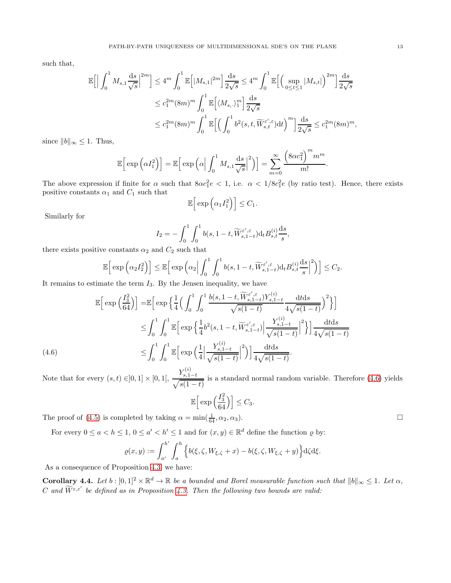such that,

$$
\mathbb{E}\Big[\Big|\int_0^1 M_{s,1} \frac{ds}{\sqrt{s}}\Big|^{2m}\Big] \le 4^m \int_0^1 \mathbb{E}\Big[|M_{s,1}|^{2m}\Big] \frac{ds}{2\sqrt{s}} \le 4^m \int_0^1 \mathbb{E}\Big[\Big(\sup_{0\le t\le 1} |M_{s,t}|\Big)^{2m}\Big] \frac{ds}{2\sqrt{s}}
$$
  

$$
\le c_1^{2m} (8m)^m \int_0^1 \mathbb{E}\Big[\langle M_{s,\cdot}\rangle_1^m\Big] \frac{ds}{2\sqrt{s}}
$$
  

$$
\le c_1^{2m} (8m)^m \int_0^1 \mathbb{E}\Big[\Big(\int_0^1 b^2(s,t,\widetilde{W}_{s,t}^{\varepsilon',\varepsilon}) dt\Big)^m\Big] \frac{ds}{2\sqrt{s}} \le c_1^{2m} (8m)^m,
$$

since  $||b||_{\infty} \leq 1$ . Thus,

$$
\mathbb{E}\Big[\exp\Big(\alpha I_1^2\Big)\Big] = \mathbb{E}\Big[\exp\Big(\alpha \Big|\int_0^1 M_{s,1} \frac{\mathrm{d}s}{\sqrt{s}}\Big|^2\Big)\Big] = \sum_{m=0}^\infty \frac{\Big(8\alpha c_1^2\Big)^m m^m}{m!}.
$$

The above expression if finite for  $\alpha$  such that  $8\alpha c_1^2 e < 1$ , i.e.  $\alpha < 1/8c_1^2 e$  (by ratio test). Hence, there exists positive constants  $\alpha_1$  and  $C_1$  such that

$$
\mathbb{E}\Big[\exp\Big(\alpha_1 I_1^2\Big)\Big] \leq C_1.
$$

Similarly for

$$
I_2 = -\int_0^1 \int_0^1 b(s, 1-t, \widetilde{W}_{s,1-t}^{\varepsilon', \varepsilon}) \mathrm{d}_t B_{s,t}^{(i)} \frac{\mathrm{d}s}{s},
$$

there exists positive constants  $\alpha_2$  and  $C_2$  such that

$$
\mathbb{E}\Big[\exp\Big(\alpha_2 I_2^2\Big)\Big] \leq \mathbb{E}\Big[\exp\Big(\alpha_2 \Big|\int_0^1\int_0^1 b(s, 1-t, \widetilde{W}_{s,1-t}^{\varepsilon', \varepsilon})\mathrm{d}_t B^{(i)}_{s,t}\frac{\mathrm{d}s}{s}\Big|^2\Big)\Big] \leq C_2.
$$

It remains to estimate the term  $I_3$ . By the Jensen inequality, we have

$$
\mathbb{E}\left[\exp\left(\frac{I_3^2}{64}\right)\right] = \mathbb{E}\left[\exp\left\{\frac{1}{4}\left(\int_0^1 \int_0^1 \frac{b(s, 1-t, \widetilde{W}_{s,1-t}^{\varepsilon',\varepsilon})Y_{s,1-t}^{(i)}}{\sqrt{s(1-t)}} \frac{\mathrm{d}t \mathrm{d}s}{4\sqrt{s(1-t)}}\right)^2\right\}\right]
$$
  
\n
$$
\leq \int_0^1 \int_0^1 \mathbb{E}\left[\exp\left\{\frac{1}{4}b^2(s, 1-t, \widetilde{W}_{s,1-t}^{\varepsilon',\varepsilon})\Big|\frac{Y_{s,1-t}^{(i)}}{\sqrt{s(1-t)}}\Big|^2\right\}\right] \frac{\mathrm{d}t \mathrm{d}s}{4\sqrt{s(1-t)}}
$$
  
\n
$$
\leq \int_0^1 \int_0^1 \mathbb{E}\left[\exp\left(\frac{1}{4}\left|\frac{Y_{s,1-t}^{(i)}}{\sqrt{s(1-t)}}\right|^2\right)\right] \frac{\mathrm{d}t \mathrm{d}s}{4\sqrt{s(1-t)}}.
$$
  
\n
$$
Y^{(i)}_{\varepsilon}
$$

<span id="page-12-0"></span>Note that for every  $(s, t) \in ]0, 1] \times [0, 1], \frac{Y_{s, 1-t}^{(i)}}{\sqrt{s(1-t)}}$ is a standard normal random variable. Therefore [\(4.6\)](#page-12-0) yields

$$
\mathbb{E}\Big[\exp\Big(\frac{I_3^2}{64}\Big)\Big] \leq C_3.
$$

The proof of [\(4.5\)](#page-10-0) is completed by taking  $\alpha = \min(\frac{1}{64}, \alpha_2, \alpha_3)$ .

For every  $0 \le a < h \le 1$ ,  $0 \le a' < h' \le 1$  and for  $(x, y) \in \mathbb{R}^d$  define the function  $\varrho$  by:

$$
\varrho(x,y) := \int_{a'}^{h'} \int_{a}^{h} \left\{ b(\xi,\zeta,W_{\xi,\zeta}+x) - b(\xi,\zeta,W_{\xi,\zeta}+y) \right\} d\zeta d\xi.
$$

As a consequence of Proposition [4.3,](#page-10-2) we have:

**Corollary 4.4.** Let  $b : [0,1]^2 \times \mathbb{R}^d \to \mathbb{R}$  be a bounded and Borel measurable function such that  $||b||_{\infty} \leq 1$ . Let  $\alpha$ , C and  $\widetilde{W}^{\varepsilon,\varepsilon'}$  be defined as in Proposition [4.3.](#page-10-2) Then the following two bounds are valid: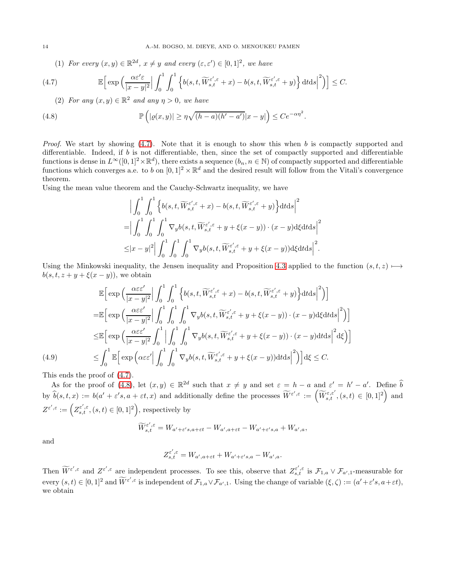(1) For every  $(x, y) \in \mathbb{R}^{2d}$ ,  $x \neq y$  and every  $(\varepsilon, \varepsilon') \in [0, 1]^2$ , we have

<span id="page-13-0"></span>(4.7) 
$$
\mathbb{E}\Big[\exp\Big(\frac{\alpha \varepsilon' \varepsilon}{|x-y|^2}\Big|\int_0^1\int_0^1\Big\{b(s,t,\widetilde{W}_{s,t}^{\varepsilon',\varepsilon}+x)-b(s,t,\widetilde{W}_{s,t}^{\varepsilon',\varepsilon}+y)\Big\}\,\mathrm{d} t\mathrm{d} s\Big|^2\Big)\Big]\leq C.
$$

(2) For any  $(x, y) \in \mathbb{R}^2$  and any  $\eta > 0$ , we have

<span id="page-13-1"></span>(4.8) 
$$
\mathbb{P}\left(|\varrho(x,y)| \geq \eta \sqrt{(h-a)(h'-a')}|x-y|\right) \leq Ce^{-\alpha \eta^2}.
$$

*Proof.* We start by showing  $(4.7)$ . Note that it is enough to show this when b is compactly supported and differentiable. Indeed, if  $b$  is not differentiable, then, since the set of compactly supported and differentiable functions is dense in  $L^{\infty}([0,1]^2 \times \mathbb{R}^d)$ , there exists a sequence  $(b_n, n \in \mathbb{N})$  of compactly supported and differentiable functions which converges a.e. to b on  $[0,1]^2 \times \mathbb{R}^d$  and the desired result will follow from the Vitali's convergence theorem.

Using the mean value theorem and the Cauchy-Schwartz inequality, we have

$$
\begin{split} & \Big|\int_0^1\int_0^1\Big\{b(s,t,\widetilde{W}_{s,t}^{\varepsilon',\varepsilon}+x)-b(s,t,\widetilde{W}_{s,t}^{\varepsilon',\varepsilon}+y)\Big\}\mathrm{d} t\mathrm{d} s\Big|^2\\ =& \Big|\int_0^1\int_0^1\int_0^1\nabla_yb(s,t,\widetilde{W}_{s,t}^{\varepsilon',\varepsilon}+y+\xi(x-y))\cdot(x-y)\mathrm{d}\xi\mathrm{d} t\mathrm{d} s\Big|^2\\ \leq& |x-y|^2\Big|\int_0^1\int_0^1\int_0^1\nabla_yb(s,t,\widetilde{W}_{s,t}^{\varepsilon',\varepsilon}+y+\xi(x-y))\mathrm{d}\xi\mathrm{d} t\mathrm{d} s\Big|^2. \end{split}
$$

Using the Minkowski inequality, the Jensen inequality and Proposition [4.3](#page-10-2) applied to the function  $(s, t, z) \mapsto$  $b(s, t, z + y + \xi(x - y))$ , we obtain

$$
\mathbb{E}\Big[\exp\Big(\frac{\alpha\varepsilon\varepsilon'}{|x-y|^2}\Big|\int_0^1\int_0^1\Big\{b(s,t,\widetilde{W}_{s,t}^{\varepsilon',\varepsilon}+x)-b(s,t,\widetilde{W}_{s,t}^{\varepsilon',\varepsilon}+y)\Big\}\mathrm{d}t\mathrm{d}s\Big|^2\Big)\Big]
$$
\n
$$
=\mathbb{E}\Big[\exp\Big(\frac{\alpha\varepsilon\varepsilon'}{|x-y|^2}\Big|\int_0^1\int_0^1\int_0^1\nabla_yb(s,t,\widetilde{W}_{s,t}^{\varepsilon',\varepsilon}+y+\xi(x-y))\cdot(x-y)\mathrm{d}\xi\mathrm{d}t\mathrm{d}s\Big|^2\Big)\Big]
$$
\n
$$
\leq\mathbb{E}\Big[\exp\Big(\frac{\alpha\varepsilon\varepsilon'}{|x-y|^2}\int_0^1\Big|\int_0^1\int_0^1\nabla_yb(s,t,\widetilde{W}_{s,t}^{\varepsilon',\varepsilon}+y+\xi(x-y))\cdot(x-y)\mathrm{d}t\mathrm{d}s\Big|^2\mathrm{d}\xi\Big)\Big]
$$
\n(4.9)\n
$$
\leq\int_0^1\mathbb{E}\Big[\exp\Big(\alpha\varepsilon\varepsilon'\Big|\int_0^1\int_0^1\nabla_yb(s,t,\widetilde{W}_{s,t}^{\varepsilon',\varepsilon}+y+\xi(x-y))\mathrm{d}t\mathrm{d}s\Big|^2\Big)\Big]\mathrm{d}\xi\leq C.
$$

This ends the proof of [\(4.7\)](#page-13-0).

As for the proof of [\(4.8\)](#page-13-1), let  $(x, y) \in \mathbb{R}^{2d}$  such that  $x \neq y$  and set  $\varepsilon = h - a$  and  $\varepsilon' = h' - a'$ . Define  $\tilde{b}$ by  $\hat{b}(s,t,x) := b(a'+\varepsilon's, a+\varepsilon t, x)$  and additionally define the processes  $\widetilde{W}^{\varepsilon',\varepsilon} := (\widetilde{W}^{\varepsilon,\varepsilon',\varepsilon}_{s,t}, (s,t) \in [0,1]^2)$  and  $Z^{\varepsilon',\varepsilon}:=\Big(Z_{s,t}^{\varepsilon',\varepsilon},(s,t)\in[0,1]^2\Big),$  respectively by

$$
\widetilde{W}_{s,t}^{\varepsilon',\varepsilon} = W_{a'+\varepsilon's, a+\varepsilon t} - W_{a',a+\varepsilon t} - W_{a'+\varepsilon's, a} + W_{a',a},
$$

and

$$
Z^{\varepsilon',\varepsilon}_{s,t}=W_{a',a+\varepsilon t}+W_{a'+\varepsilon's,a}-W_{a',a}.
$$

Then  $\widetilde{W}^{\varepsilon',\varepsilon}$  and  $Z^{\varepsilon',\varepsilon}$  are independent processes. To see this, observe that  $Z_{s,t}^{\varepsilon',\varepsilon}$  is  $\mathcal{F}_{1,a} \vee \mathcal{F}_{a',1}$ -measurable for every  $(s,t) \in [0,1]^2$  and  $\widetilde{W}^{\varepsilon',\varepsilon}$  is independent of  $\mathcal{F}_{1,a} \vee \mathcal{F}_{a',1}$ . Using the change of variable  $(\xi,\zeta) := (a'+\varepsilon's, a+\varepsilon t)$ , we obtain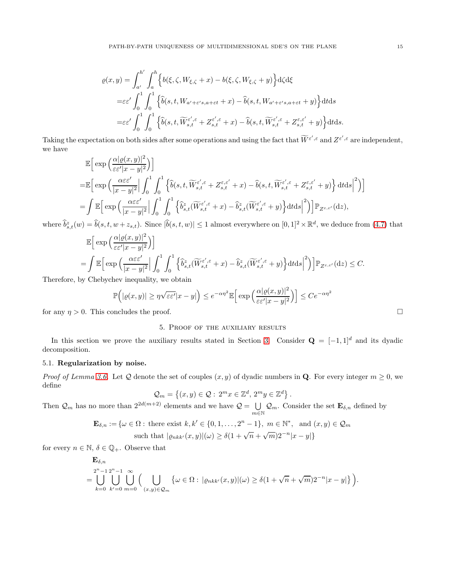$$
\varrho(x,y) = \int_{a'}^{h'} \int_{a}^{h} \left\{ b(\xi,\zeta,W_{\xi,\zeta}+x) - b(\xi,\zeta,W_{\xi,\zeta}+y) \right\} d\zeta d\xi
$$
  
\n
$$
= \varepsilon \varepsilon' \int_{0}^{1} \int_{0}^{1} \left\{ \widehat{b}(s,t,W_{a'+\varepsilon's,a+\varepsilon t}+x) - \widehat{b}(s,t,W_{a'+\varepsilon's,a+\varepsilon t}+y) \right\} dt ds
$$
  
\n
$$
= \varepsilon \varepsilon' \int_{0}^{1} \int_{0}^{1} \left\{ \widehat{b}(s,t,\widetilde{W}_{s,t}^{\varepsilon',\varepsilon}+Z_{s,t}^{\varepsilon',\varepsilon}+x) - \widehat{b}(s,t,\widetilde{W}_{s,t}^{\varepsilon',\varepsilon}+Z_{s,t}^{\varepsilon,\varepsilon'}+y) \right\} dt ds.
$$

Taking the expectation on both sides after some operations and using the fact that  $\widetilde{W}^{\varepsilon',\varepsilon}$  and  $Z^{\varepsilon',\varepsilon}$  are independent, we have  $\sqrt{2}$ 

$$
\mathbb{E}\Big[\exp\Big(\frac{\alpha|\varrho(x,y)|^2}{\varepsilon\varepsilon'|x-y|^2}\Big)\Big]
$$
\n
$$
=\mathbb{E}\Big[\exp\Big(\frac{\alpha\varepsilon\varepsilon'}{|x-y|^2}\Big|\int_0^1\int_0^1\Big\{\widehat{b}(s,t,\widetilde{W}_{s,t}^{\varepsilon',\varepsilon}+Z_{s,t}^{\varepsilon,\varepsilon'}+x)-\widehat{b}(s,t,\widetilde{W}_{s,t}^{\varepsilon',\varepsilon}+Z_{s,t}^{\varepsilon,\varepsilon'}+y)\Big\}\,\mathrm{d} t\mathrm{d} s\Big|^2\Big)\Big]
$$
\n
$$
=\int \mathbb{E}\Big[\exp\Big(\frac{\alpha\varepsilon\varepsilon'}{|x-y|^2}\Big|\int_0^1\int_0^1\Big\{\widehat{b}_{s,t}^{\varepsilon}(\widetilde{W}_{s,t}^{\varepsilon',\varepsilon}+x)-\widehat{b}_{s,t}^{\varepsilon}(\widetilde{W}_{s,t}^{\varepsilon',\varepsilon}+y)\Big\}\mathrm{d} t\mathrm{d} s\Big|^2\Big)\Big]\mathbb{P}_{Z^{\varepsilon,\varepsilon'}}(\mathrm{d} z),
$$

where  $\hat{b}_{s,t}^z(w) = \hat{b}(s,t,w+z_{s,t})$ . Since  $|\hat{b}(s,t,w)| \leq 1$  almost everywhere on  $[0,1]^2 \times \mathbb{R}^d$ , we deduce from [\(4.7\)](#page-13-0) that

$$
\mathbb{E}\Big[\exp\Big(\frac{\alpha|\varrho(x,y)|^2}{\varepsilon\varepsilon'|x-y|^2}\Big)\Big]
$$
\n
$$
=\int \mathbb{E}\Big[\exp\Big(\frac{\alpha\varepsilon\varepsilon'}{|x-y|^2}\Big|\int_0^1\int_0^1\Big\{\widehat{b}_{s,t}^z(\widetilde{W}_{s,t}^{\varepsilon',\varepsilon}+x)-\widehat{b}_{s,t}^z(\widetilde{W}_{s,t}^{\varepsilon',\varepsilon}+y)\Big\}\mathrm{d} t\mathrm{d} s\Big|^2\Big)\Big]\mathbb{P}_{Z^{\varepsilon,\varepsilon'}}(\mathrm{d} z)\leq C.
$$
\nby Chebyschov inequality, we obtain

Therefore, by Chebychev inequality, we obtain

$$
\mathbb{P}\Big(|\varrho(x,y)| \ge \eta \sqrt{\varepsilon \varepsilon'} |x-y|\Big) \le e^{-\alpha \eta^2} \mathbb{E}\Big[\exp\Big(\frac{\alpha |\varrho(x,y)|^2}{\varepsilon \varepsilon' |x-y|^2}\Big)\Big] \le C e^{-\alpha \eta^2}
$$

<span id="page-14-0"></span>for any  $\eta > 0$ . This concludes the proof.

# 5. Proof of the auxiliary results

In this section we prove the auxiliary results stated in Section [3.](#page-5-2) Consider  $\mathbf{Q} = [-1, 1]^d$  and its dyadic decomposition.

### 5.1. Regularization by noise.

*Proof of Lemma [3.6.](#page-6-0)* Let Q denote the set of couples  $(x, y)$  of dyadic numbers in Q. For every integer  $m \ge 0$ , we define

$$
\mathcal{Q}_m=\left\{(x,y)\in\mathcal{Q}:\,2^mx\in\mathbb{Z}^d,\,2^my\in\mathbb{Z}^d\right\}.
$$

Then  $\mathcal{Q}_m$  has no more than  $2^{2d(m+2)}$  elements and we have  $\mathcal{Q} = \bigcup_{\alpha=1}^{\infty}$  $\bigcup_{m\in\mathbb{N}}\mathcal{Q}_m$ . Consider the set  $\mathbf{E}_{\delta,n}$  defined by

> $\mathbf{E}_{\delta,n} := \{ \omega \in \Omega : \text{ there exist } k, k' \in \{0, 1, \ldots, 2^n - 1\}, m \in \mathbb{N}^*, \text{ and } (x, y) \in \mathcal{Q}_m \}$ such that  $|\varrho_{nkk'}(x,y)|(\omega) \ge \delta(1+\sqrt{n}+\sqrt{m})2^{-n}|x-y|\}$

for every  $n \in \mathbb{N}$ ,  $\delta \in \mathbb{Q}_+$ . Observe that

$$
\mathbf{E}_{\delta,n}
$$
\n
$$
= \bigcup_{k=0}^{2^n-1} \bigcup_{k'=0}^{2^n-1} \bigcup_{m=0}^{\infty} \Big( \bigcup_{(x,y)\in\mathcal{Q}_m} \big\{ \omega \in \Omega : |\varrho_{nkk'}(x,y)|(\omega) \ge \delta(1+\sqrt{n}+\sqrt{m})2^{-n}|x-y|\big\} \Big).
$$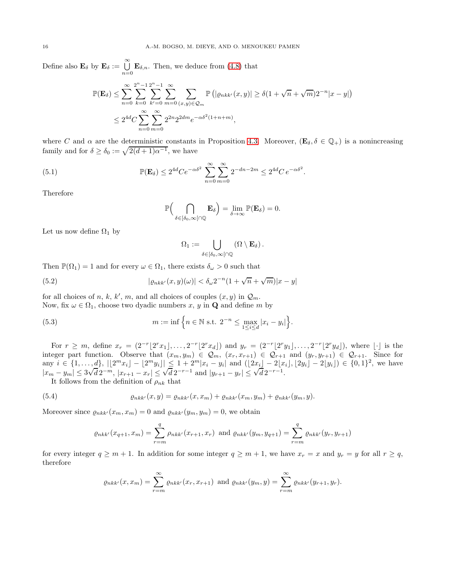Define also  $\mathbf{E}_{\delta}$  by  $\mathbf{E}_{\delta} := \bigcup_{n=0}^{\infty} \mathbf{E}_{\delta,n}$ . Then, we deduce from [\(4.8\)](#page-13-1) that

$$
\mathbb{P}(\mathbf{E}_{\delta}) \leq \sum_{n=0}^{\infty} \sum_{k=0}^{2^{n}-1} \sum_{k'=0}^{2^{n}-1} \sum_{m=0}^{\infty} \sum_{(x,y)\in\mathcal{Q}_{m}} \mathbb{P}\left(|\varrho_{nkk'}(x,y)| \geq \delta(1+\sqrt{n}+\sqrt{m})2^{-n}|x-y|\right)
$$
  

$$
\leq 2^{4d} C \sum_{n=0}^{\infty} \sum_{m=0}^{\infty} 2^{2n} 2^{2dm} e^{-\alpha \delta^{2}(1+n+m)},
$$

where C and  $\alpha$  are the deterministic constants in Proposition [4.3.](#page-10-2) Moreover,  $(\mathbf{E}_{\delta}, \delta \in \mathbb{Q}_{+})$  is a nonincreasing family and for  $\delta \ge \delta_0 := \sqrt{2(d+1)\alpha^{-1}}$ , we have

(5.1) 
$$
\mathbb{P}(\mathbf{E}_{\delta}) \leq 2^{4d} C e^{-\alpha \delta^2} \sum_{n=0}^{\infty} \sum_{m=0}^{\infty} 2^{-dn-2m} \leq 2^{4d} C e^{-\alpha \delta^2}.
$$

Therefore

$$
\mathbb{P}\Big(\bigcap_{\delta\in[\delta_0,\infty[\cap\mathbb{Q}}\mathbf{E}_{\delta}\Big)=\lim_{\delta\to\infty}\mathbb{P}(\mathbf{E}_{\delta})=0.
$$

Let us now define  $\Omega_1$  by

$$
\Omega_1:=\bigcup_{\delta\in [\delta_0,\infty[\cap\mathbb{Q}}(\Omega\setminus \mathbf{E}_\delta)\,.
$$

Then  $\mathbb{P}(\Omega_1) = 1$  and for every  $\omega \in \Omega_1$ , there exists  $\delta_{\omega} > 0$  such that

<span id="page-15-1"></span>(5.2) 
$$
|\varrho_{nkk'}(x,y)(\omega)| < \delta_{\omega}2^{-n}(1+\sqrt{n}+\sqrt{m})|x-y|
$$

for all choices of n, k, k', m, and all choices of couples  $(x, y)$  in  $\mathcal{Q}_m$ . Now, fix  $\omega \in \Omega_1$ , choose two dyadic numbers x, y in Q and define m by

(5.3) 
$$
m := \inf \left\{ n \in \mathbb{N} \text{ s.t. } 2^{-n} \le \max_{1 \le i \le d} |x_i - y_i| \right\}.
$$

For  $r \geq m$ , define  $x_r = (2^{-r} \lfloor 2^{r} x_1 \rfloor, \ldots, 2^{-r} \lfloor 2^{r} x_d \rfloor)$  and  $y_r = (2^{-r} \lfloor 2^{r} y_1 \rfloor, \ldots, 2^{-r} \lfloor 2^{r} y_d \rfloor)$ , where  $\lfloor \cdot \rfloor$  is the integer part function. Observe that  $(x_m, y_m) \in \mathcal{Q}_m$ ,  $(x_r, x_{r+1}) \in \mathcal{Q}_{r+1}$  and  $(y_r, y_{r+1}) \in \mathcal{Q}_{r+1}$ . Since for any  $i \in \{1, ..., \underline{d}\}, \ |[2^m x_i] - [2^m y_i]| \leq 1 + 2^m |x_i - y_i|$  and  $([2x_i] - 2[x_i], [2y_i] - 2[y_i]) \in \{0, 1\}^2$ , we have  $|x_m - y_m| \leq 3\sqrt{d} \, 2^{-m}, |x_{r+1} - x_r| \leq \sqrt{d} \, 2^{-r-1}$  and  $|y_{r+1} - y_r| \leq \sqrt{d} \, 2^{-r-1}$ .

It follows from the definition of  $\rho_{nk}$  that

<span id="page-15-0"></span>(5.4) 
$$
\varrho_{nkk'}(x,y) = \varrho_{nkk'}(x,x_m) + \varrho_{nkk'}(x_m,y_m) + \varrho_{nkk'}(y_m,y).
$$

Moreover since  $\varrho_{nkk'}(x_m, x_m) = 0$  and  $\varrho_{nkk'}(y_m, y_m) = 0$ , we obtain

$$
\varrho_{nkk'}(x_{q+1}, x_m) = \sum_{r=m}^{q} \rho_{nkk'}(x_{r+1}, x_r) \text{ and } \varrho_{nkk'}(y_m, y_{q+1}) = \sum_{r=m}^{q} \varrho_{nkk'}(y_r, y_{r+1})
$$

for every integer  $q \geq m+1$ . In addition for some integer  $q \geq m+1$ , we have  $x_r = x$  and  $y_r = y$  for all  $r \geq q$ , therefore

$$
\varrho_{nkk'}(x, x_m) = \sum_{r=m}^{\infty} \varrho_{nkk'}(x_r, x_{r+1}) \text{ and } \varrho_{nkk'}(y_m, y) = \sum_{r=m}^{\infty} \varrho_{nkk'}(y_{r+1}, y_r).
$$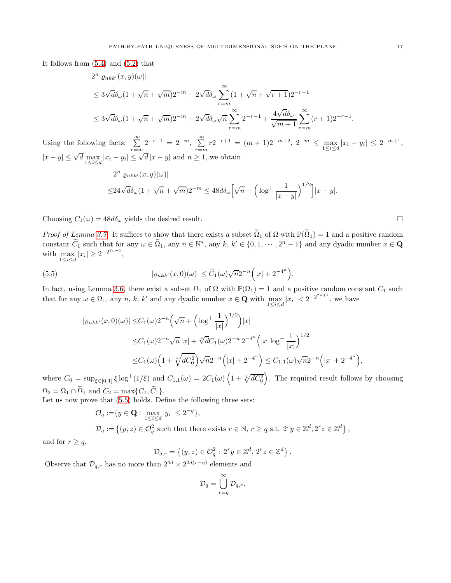It follows from [\(5.4\)](#page-15-0) and [\(5.2\)](#page-15-1) that

$$
2^{n}|\varrho_{nkk'}(x,y)(\omega)|
$$
  
\n
$$
\leq 3\sqrt{d}\delta_{\omega}(1+\sqrt{n}+\sqrt{m})2^{-m}+2\sqrt{d}\delta_{\omega}\sum_{r=m}^{\infty}(1+\sqrt{n}+\sqrt{r+1})2^{-r-1}
$$
  
\n
$$
\leq 3\sqrt{d}\delta_{\omega}(1+\sqrt{n}+\sqrt{m})2^{-m}+2\sqrt{d}\delta_{\omega}\sqrt{n}\sum_{r=m}^{\infty}2^{-r-1}+\frac{4\sqrt{d}\delta_{\omega}}{\sqrt{m+1}}\sum_{r=m}^{\infty}(r+1)2^{-r-1}.
$$

 $|x-y|$ 

Using the following facts:  $\sum_{r=m}^{\infty} 2^{-r-1} = 2^{-m}$ ,  $\sum_{r=n}^{\infty}$  $\sum_{r=m} r 2^{-r+1} = (m+1)2^{-m+2}, 2^{-m} \le \max_{1 \le i \le d} |x_i - y_i| \le 2^{-m+1},$  $|x-y| \leq \sqrt{d} \max_{1 \leq i \leq d} |x_i - y_i| \leq \sqrt{d} |x-y|$  and  $n \geq 1$ , we obtain  $2^{n}$ | $\varrho_{nkk'}(x,y)(\omega)$ |  $\leq 24\sqrt{d\delta_{\omega}}(1+\sqrt{n}+\sqrt{m})2^{-m} \leq 48d\delta_{\omega} \left[\sqrt{n}+\left(\log^+\frac{1}{|x|-}\right)\right]$  $\Big)^{1/2}$ | $|x-y|$ .

Choosing  $C_1(\omega) = 48d\delta_{\omega}$  yields the desired result.

*Proof of Lemma [3.7.](#page-6-3)* It suffices to show that there exists a subset  $\tilde{\Omega}_1$  of  $\Omega$  with  $\mathbb{P}(\tilde{\Omega}_1) = 1$  and a positive random constant  $C_1$  such that for any  $\omega \in \Omega_1$ , any  $n \in \mathbb{N}^*$ , any  $k, k' \in \{0, 1, \cdots, 2^n - 1\}$  and any dyadic number  $x \in \mathbf{Q}$ with  $\max_{1 \le i \le d} |x_i| \ge 2^{-2^{2n+1}},$ 

<span id="page-16-0"></span>(5.5) 
$$
|\varrho_{nkk'}(x,0)(\omega)| \leq \widetilde{C}_1(\omega)\sqrt{n}2^{-n}(|x|+2^{-4^n}).
$$

In fact, using Lemma [3.6,](#page-6-0) there exist a subset  $\Omega_1$  of  $\Omega$  with  $\mathbb{P}(\Omega_1) = 1$  and a positive random constant  $C_1$  such that for any  $\omega \in \Omega_1$ , any n, k, k' and any dyadic number  $x \in \mathbf{Q}$  with  $\max_{1 \leq i \leq d} |x_i| < 2^{-2^{2n+1}}$ , we have

$$
| \varrho_{nkk'}(x,0)(\omega) | \leq C_1(\omega) 2^{-n} \left( \sqrt{n} + \left( \log^+ \frac{1}{|x|} \right)^{1/2} \right) |x|
$$
  

$$
\leq C_1(\omega) 2^{-n} \sqrt{n} |x| + \sqrt[4]{d} C_1(\omega) 2^{-n} 2^{-4^n} \left( |x| \log^+ \frac{1}{|x|} \right)^{1/2}
$$
  

$$
\leq C_1(\omega) \left( 1 + \sqrt[4]{d} C_0^2 \right) \sqrt{n} 2^{-n} \left( |x| + 2^{-4^n} \right) \leq C_{1,1}(\omega) \sqrt{n} 2^{-n} \left( |x| + 2^{-4^n} \right),
$$

where  $C_0 = \sup_{\xi \in [0,1]} \xi \log^+(1/\xi)$  and  $C_{1,1}(\omega) = 2C_1(\omega) \left(1 + \sqrt[4]{dC_0^2}\right)$ . The required result follows by choosing  $\Omega_2 = \Omega_1 \cap \widetilde{\Omega}_1$  and  $C_2 = \max\{C_1, \widetilde{C}_1\}.$ 

Let us now prove that [\(5.5\)](#page-16-0) holds. Define the following three sets:

$$
\mathcal{O}_q := \{ y \in \mathbf{Q} : \max_{1 \leq i \leq d} |y_i| \leq 2^{-q} \},
$$
  

$$
\mathcal{D}_q := \{ (y, z) \in \mathcal{O}_q^2 \text{ such that there exists } r \in \mathbb{N}, r \geq q \text{ s.t. } 2^r y \in \mathbb{Z}^d, 2^r z \in \mathbb{Z}^d \},
$$

and for  $r \geq q$ ,

$$
\mathcal{D}_{q,r} = \left\{ (y,z) \in \mathcal{O}_q^2 : 2^r y \in \mathbb{Z}^d, 2^r z \in \mathbb{Z}^d \right\}.
$$

Observe that  $\mathcal{D}_{q,r}$  has no more than  $2^{4d} \times 2^{2d(r-q)}$  elements and

$$
\mathcal{D}_q = \bigcup_{r=q}^{\infty} \mathcal{D}_{q,r}.
$$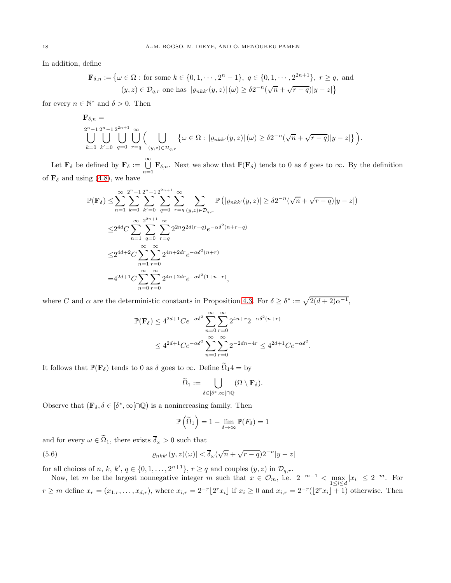In addition, define

$$
\mathbf{F}_{\delta,n} := \left\{ \omega \in \Omega : \text{ for some } k \in \{0, 1, \cdots, 2^n - 1\}, q \in \{0, 1, \cdots, 2^{2n+1}\}, r \ge q, \text{ and } (y, z) \in \mathcal{D}_{q,r} \text{ one has } |\varrho_{nkk'}(y, z)| \, (\omega) \ge \delta 2^{-n} (\sqrt{n} + \sqrt{r - q}) |y - z| \right\}
$$

for every  $n \in \mathbb{N}^*$  and  $\delta > 0$ . Then

$$
\mathbf{F}_{\delta,n} =
$$
  
\n
$$
\bigcup_{k=0}^{2^n-1} \bigcup_{k'=0}^{2^{n}+1} \bigcup_{q=0}^{\infty} \bigcup_{r=q} \Big( \bigcup_{(y,z) \in \mathcal{D}_{q,r}} \left\{ \omega \in \Omega : \left| \varrho_{nkk'}(y,z) \right| (\omega) \geq \delta 2^{-n} (\sqrt{n} + \sqrt{r-q}) |y-z| \right\} \Big).
$$

Let  $\mathbf{F}_{\delta}$  be defined by  $\mathbf{F}_{\delta} := \bigcup_{n=1}^{\infty} \mathbf{F}_{\delta,n}$ . Next we show that  $\mathbb{P}(\mathbf{F}_{\delta})$  tends to 0 as  $\delta$  goes to  $\infty$ . By the definition of  $\mathbf{F}_{\delta}$  and using [\(4.8\)](#page-13-1), we have

$$
\mathbb{P}(\mathbf{F}_{\delta}) \leq \sum_{n=1}^{\infty} \sum_{k=0}^{2^{n}-1} \sum_{k'=0}^{2^{n}-1} \sum_{q=0}^{2^{n}+1} \sum_{r=q}^{\infty} \sum_{(y,z) \in \mathcal{D}_{q,r}} \mathbb{P}\left(|\varrho_{nkk'}(y,z)| \geq \delta 2^{-n}(\sqrt{n} + \sqrt{r-q})|y-z|\right)
$$
  

$$
\leq 2^{4d} C \sum_{n=1}^{\infty} \sum_{q=0}^{2^{2n}+1} \sum_{r=q}^{\infty} 2^{2n} 2^{2d(r-q)} e^{-\alpha \delta^{2}(n+r-q)}
$$
  

$$
\leq 2^{4d+2} C \sum_{n=1}^{\infty} \sum_{r=0}^{\infty} 2^{4n+2dr} e^{-\alpha \delta^{2}(n+r)}
$$
  

$$
= 4^{2d+1} C \sum_{n=0}^{\infty} \sum_{r=0}^{\infty} 2^{4n+2dr} e^{-\alpha \delta^{2}(1+n+r)},
$$

where C and  $\alpha$  are the deterministic constants in Proposition [4.3.](#page-10-2) For  $\delta \geq \delta^* := \sqrt{2(d+2)\alpha^{-1}}$ ,

$$
\mathbb{P}(\mathbf{F}_{\delta}) \le 4^{2d+1}Ce^{-\alpha\delta^2} \sum_{n=0}^{\infty} \sum_{r=0}^{\infty} 2^{4n+r} 2^{-\alpha\delta^2(n+r)}
$$
  

$$
\le 4^{2d+1}Ce^{-\alpha\delta^2} \sum_{n=0}^{\infty} \sum_{r=0}^{\infty} 2^{-2dn-4r} \le 4^{2d+1}Ce^{-\alpha\delta^2}.
$$

It follows that  $\mathbb{P}(\mathbf{F}_{\delta})$  tends to 0 as  $\delta$  goes to  $\infty$ . Define  $\widetilde{\Omega}_1 4 =$  by

$$
\widetilde{\Omega}_1:=\bigcup_{\delta\in [\delta^*,\infty[\cap\mathbb{Q}}(\Omega\setminus\mathbf{F}_{\delta}).
$$

Observe that  $(\mathbf{F}_{\delta}, \delta \in [\delta^*, \infty] \cap \mathbb{Q})$  is a nonincreasing family. Then

$$
\mathbb{P}\left(\widetilde{\Omega}_1\right) = 1 - \lim_{\delta \to \infty} \mathbb{P}(F_{\delta}) = 1
$$

and for every  $\omega \in \widetilde{\Omega}_1$ , there exists  $\overline{\delta}_{\omega} > 0$  such that

<span id="page-17-0"></span>(5.6) 
$$
|\varrho_{nkk'}(y,z)(\omega)| < \overline{\delta}_{\omega}(\sqrt{n} + \sqrt{r-q})2^{-n}|y-z|
$$

for all choices of n, k, k',  $q \in \{0, 1, ..., 2^{n+1}\}, r \ge q$  and couples  $(y, z)$  in  $\mathcal{D}_{q,r}$ .

Now, let m be the largest nonnegative integer m such that  $x \in \mathcal{O}_m$ , i.e.  $2^{-m-1} < \max_{1 \leq i \leq d} |x_i| \leq 2^{-m}$ . For  $r \geq m$  define  $x_r = (x_{1,r}, \ldots, x_{d,r})$ , where  $x_{i,r} = 2^{-r} \lfloor 2^r x_i \rfloor$  if  $x_i \geq 0$  and  $x_{i,r} = 2^{-r} \lfloor 2^r x_i \rfloor + 1$ ) otherwise. Then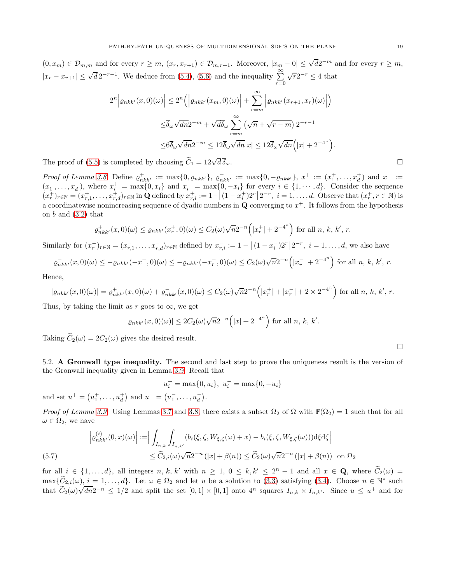$(0, x_m) \in \mathcal{D}_{m,m}$  and for every  $r \geq m$ ,  $(x_r, x_{r+1}) \in \mathcal{D}_{m,r+1}$ . Moreover,  $|x_m - 0| \leq \sqrt{d}2^{-m}$  and for every  $r \geq m$ ,  $|x_r - x_{r+1}| \leq \sqrt{d} 2^{-r-1}$ . We deduce from [\(5.4\)](#page-15-0), [\(5.6\)](#page-17-0) and the inequality  $\sum_{r=0}^{\infty}$  $\sqrt{r}2^{-r} \leq 4$  that

$$
2^{n} \left| \varrho_{nkk'}(x,0)(\omega) \right| \leq 2^{n} \left( \left| \varrho_{nkk'}(x_m,0)(\omega) \right| + \sum_{r=m}^{\infty} \left| \varrho_{nkk'}(x_{r+1},x_r)(\omega) \right| \right)
$$
  

$$
\leq \overline{\delta}_{\omega} \sqrt{dn} 2^{-m} + \sqrt{d\delta}_{\omega} \sum_{r=m}^{\infty} \left( \sqrt{n} + \sqrt{r-m} \right) 2^{-r-1}
$$
  

$$
\leq 6 \overline{\delta}_{\omega} \sqrt{dn} 2^{-m} \leq 12 \overline{\delta}_{\omega} \sqrt{dn} |x| \leq 12 \overline{\delta}_{\omega} \sqrt{dn} \left( |x| + 2^{-4^n} \right).
$$

The proof of [\(5.5\)](#page-16-0) is completed by choosing  $\widetilde{C}_1 = 12\sqrt{d} \overline{\delta}_{\omega}$ .  $\overline{d} \, \overline{\delta}_{\omega}$ .

Proof of Lemma [3.8.](#page-6-4) Define  $\varrho_{nkk'}^+ := \max\{0, \varrho_{nkk'}\}, \varrho_{nkk'}^- := \max\{0, -\varrho_{nkk'}\}, x^+ := (x_1^+, \ldots, x_d^+)$  and  $x^- :=$  $(x_1^-, \ldots, x_d^-)$ , where  $x_i^+ = \max\{0, x_i\}$  and  $x_i^- = \max\{0, -x_i\}$  for every  $i \in \{1, \cdots, d\}$ . Consider the sequence  $(x_r^+)_{r \in \mathbb{N}} = (x_{r,1}^+, \ldots, x_{r,d}^+)_{r \in \mathbb{N}}$  in Q defined by  $x_{r,i}^+ := 1 - \left[ (1 - x_i^+) 2^r \right] 2^{-r}, i = 1, \ldots, d$ . Observe that  $(x_r^+, r \in \mathbb{N})$  is a coordinatewise nonincreasing sequence of dyadic numbers in  $\mathbf Q$  converging to  $x^+$ . It follows from the hypothesis on  $b$  and  $(3.2)$  that

$$
\varrho_{nkk'}^+(x,0)(\omega) \le \varrho_{nkk'}(x_r^+,0)(\omega) \le C_2(\omega)\sqrt{n}2^{-n}\left(|x_r^+| + 2^{-4^n}\right) \text{ for all } n, k, k', r.
$$

Similarly for  $(x_r^-)_{r \in \mathbb{N}} = (x_{r,1}^-, \ldots, x_{r,d}^-)_{r \in \mathbb{N}}$  defined by  $x_{r,i}^- := 1 - \left[ (1 - x_i^-)2^r \right] 2^{-r}, i = 1, \ldots, d$ , we also have

$$
\varrho_{nkk'}^-(x,0)(\omega) \le -\varrho_{nkk'}(-x^-,0)(\omega) \le -\varrho_{nkk'}(-x^-_r,0)(\omega) \le C_2(\omega)\sqrt{n}2^{-n}\left(|x^-_r| + 2^{-4^n}\right) \text{ for all } n, k, k', r.
$$

Hence,

$$
|\varrho_{nkk'}(x,0)(\omega)| = \varrho_{nkk'}^+(x,0)(\omega) + \varrho_{nkk'}^-(x,0)(\omega) \le C_2(\omega)\sqrt{n}2^{-n} \left( |x_r^+| + |x_r^-| + 2 \times 2^{-4^n} \right) \text{ for all } n, k, k', r.
$$

Thus, by taking the limit as r goes to  $\infty$ , we get

$$
|\varrho_{nkk'}(x,0)(\omega)| \le 2C_2(\omega)\sqrt{n}2^{-n} (|x| + 2^{-4^n})
$$
 for all  $n, k, k'.$ 

Taking  $\widetilde{C}_2(\omega) = 2C_2(\omega)$  gives the desired result.

5.2. A Gronwall type inequality. The second and last step to prove the uniqueness result is the version of the Gronwall inequality given in Lemma [3.9.](#page-6-1) Recall that

$$
u_i^+ = \max\{0, u_i\}, \ u_i^- = \max\{0, -u_i\}
$$

and set  $u^+ = (u_1^+, \ldots, u_d^+)$  and  $u^- = (u_1^-, \ldots, u_d^-)$ .

Proof of Lemma [3.9.](#page-6-1) Using Lemmas [3.7](#page-6-3) and [3.8,](#page-6-4) there exists a subset  $\Omega_2$  of  $\Omega$  with  $\mathbb{P}(\Omega_2) = 1$  such that for all  $\omega \in \Omega_2$ , we have

$$
\left| \varrho_{nkk'}^{(i)}(0,x)(\omega) \right| := \Big| \int_{I_{n,k}} \int_{I_{n,k'}} (b_i(\xi,\zeta,W_{\xi,\zeta}(\omega)+x) - b_i(\xi,\zeta,W_{\xi,\zeta}(\omega))) \mathrm{d}\xi \mathrm{d}\zeta \Big|
$$
  

$$
\leq \widetilde{C}_{2,i}(\omega) \sqrt{n} 2^{-n} (|x| + \beta(n)) \leq \widetilde{C}_2(\omega) \sqrt{n} 2^{-n} (|x| + \beta(n)) \text{ on } \Omega_2
$$

<span id="page-18-0"></span>for all  $i \in \{1,\ldots,d\}$ , all integers  $n, k, k'$  with  $n \geq 1, 0 \leq k, k' \leq 2<sup>n</sup> - 1$  and all  $x \in \mathbf{Q}$ , where  $C_2(\omega) =$  $\max{\{\tilde{C}_{2,i}(\omega), i = 1,\ldots,d\}}$ . Let  $\omega \in \Omega_2$  and let u be a solution to [\(3.3\)](#page-6-6) satisfying [\(3.4\)](#page-7-3). Choose  $n \in \mathbb{N}^*$  such that  $C_2(\omega)\sqrt{dn}2^{-n} \leq 1/2$  and split the set  $[0,1] \times [0,1]$  onto  $4^n$  squares  $I_{n,k} \times I_{n,k'}$ . Since  $u \leq u^+$  and for

 $\Box$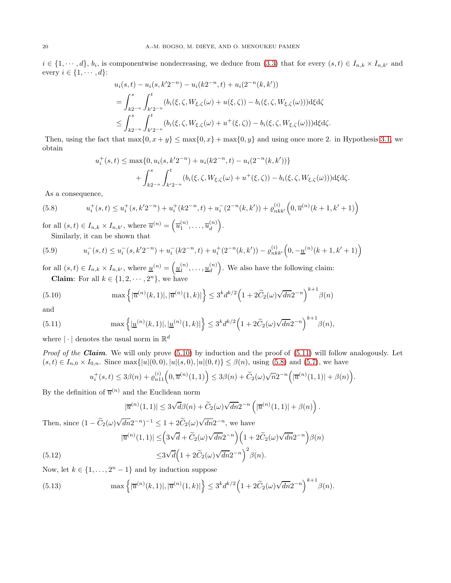$i \in \{1, \dots, d\}, b_i$ , is componentwise nondecreasing, we deduce from [\(3.3\)](#page-6-6) that for every  $(s, t) \in I_{n,k} \times I_{n,k'}$  and every  $i \in \{1, \cdots, d\}$ :

$$
u_i(s,t) - u_i(s, k'2^{-n}) - u_i(k2^{-n}, t) + u_i(2^{-n}(k, k'))
$$
  
= 
$$
\int_{k2^{-n}}^s \int_{k'2^{-n}}^t (b_i(\xi, \zeta, W_{\xi, \zeta}(\omega) + u(\xi, \zeta)) - b_i(\xi, \zeta, W_{\xi, \zeta}(\omega))) \, d\xi \, d\zeta
$$
  

$$
\leq \int_{k2^{-n}}^s \int_{k'2^{-n}}^t (b_i(\xi, \zeta, W_{\xi, \zeta}(\omega) + u^+(\xi, \zeta)) - b_i(\xi, \zeta, W_{\xi, \zeta}(\omega))) \, d\xi \, d\zeta.
$$

Then, using the fact that  $\max\{0, x + y\} \le \max\{0, x\} + \max\{0, y\}$  and using once more 2. in Hypothesis [3.1,](#page-5-3) we obtain

$$
u_i^+(s,t) \le \max\{0, u_i(s, k'2^{-n}) + u_i(k2^{-n}, t) - u_i(2^{-n}(k, k'))\}
$$
  
+ 
$$
\int_{k2^{-n}}^s \int_{k'2^{-n}}^t (b_i(\xi, \zeta, W_{\xi, \zeta}(\omega) + u^+(\xi, \zeta)) - b_i(\xi, \zeta, W_{\xi, \zeta}(\omega))) \, d\xi \, d\zeta.
$$

As a consequence,

<span id="page-19-2"></span>(5.8) 
$$
u_i^+(s,t) \le u_i^+(s,k'2^{-n}) + u_i^+(k2^{-n},t) + u_i^-(2^{-n}(k,k')) + \varrho_{nkk'}^{(i)}\left(0,\overline{u}^{(n)}(k+1,k'+1)\right)
$$

for all  $(s,t) \in I_{n,k} \times I_{n,k'}$ , where  $\overline{u}^{(n)} = (\overline{u}_1^{(n)}, \dots, \overline{u}_d^{(n)})$ d . Similarly, it can be shown that

(5.9) 
$$
u_i^-(s,t) \le u_i^-(s,k'2^{-n}) + u_i^-(k2^{-n},t) + u_i^+(2^{-n}(k,k')) - \varrho_{nkk'}^{(i)}\left(0, -\underline{u}^{(n)}(k+1,k'+1)\right)
$$

for all  $(s,t) \in I_{n,k} \times I_{n,k'}$ , where  $\underline{u}^{(n)} = \left(\underline{u}_1^{(n)}, \ldots, \underline{u}_d^{(n)}\right)$ d . We also have the following claim: **Claim:** For all  $k \in \{1, 2, \dots, 2^n\}$ , we have

<span id="page-19-0"></span>(5.10) 
$$
\max \left\{ |\overline{u}^{(n)}(k,1)|, |\overline{u}^{(n)}(1,k)| \right\} \leq 3^{k} d^{k/2} \left( 1 + 2 \widetilde{C}_2(\omega) \sqrt{dn} 2^{-n} \right)^{k+1} \beta(n)
$$

and

<span id="page-19-1"></span>(5.11) 
$$
\max \left\{ |\underline{u}^{(n)}(k,1)|, |\underline{u}^{(n)}(1,k)| \right\} \leq 3^{k} d^{k/2} \left( 1 + 2 \widetilde{C}_2(\omega) \sqrt{dn} 2^{-n} \right)^{k+1} \beta(n),
$$

where  $|\cdot|$  denotes the usual norm in  $\mathbb{R}^d$ 

*Proof of the Claim.* We will only prove  $(5.10)$  by induction and the proof of  $(5.11)$  will follow analogously. Let  $(s, t) \in I_{n,0} \times I_{0,n}$ . Since max $\{|u|(0,0), |u|(s,0), |u|(0,t)\} \leq \beta(n)$ , using [\(5.8\)](#page-19-2) and [\(5.7\)](#page-18-0), we have

$$
u_i^+(s,t)\leq 3\beta(n)+\varrho_{n11}^{(i)}\Big(0,\overline u^{(n)}(1,1)\Big)\leq 3\beta(n)+\widetilde C_2(\omega)\sqrt{n}2^{-n}\Big(|\overline u^{(n)}(1,1)|+\beta(n)\Big).
$$

By the definition of  $\overline{u}^{(n)}$  and the Euclidean norm

$$
|\overline{u}^{(n)}(1,1)| \leq 3\sqrt{d}\beta(n) + \widetilde{C}_2(\omega)\sqrt{dn}2^{-n}\left(|\overline{u}^{(n)}(1,1)| + \beta(n)\right).
$$

Then, since  $(1 - \widetilde{C}_2(\omega)\sqrt{dn}2^{-n})^{-1} \leq 1 + 2\widetilde{C}_2(\omega)\sqrt{dn}2^{-n}$ , we have

(5.12) 
$$
|\overline{u}^{(n)}(1,1)| \leq \left(3\sqrt{d} + \widetilde{C}_2(\omega)\sqrt{dn}2^{-n}\right)\left(1 + 2\widetilde{C}_2(\omega)\sqrt{dn}2^{-n}\right)\beta(n)
$$

$$
\leq 3\sqrt{d}\left(1 + 2\widetilde{C}_2(\omega)\sqrt{dn}2^{-n}\right)^2\beta(n).
$$

Now, let  $k \in \{1, \ldots, 2<sup>n</sup> - 1\}$  and by induction suppose

<span id="page-19-3"></span>(5.13) 
$$
\max \left\{ |\overline{u}^{(n)}(k,1)|, |\overline{u}^{(n)}(1,k)| \right\} \leq 3^{k} d^{k/2} \left( 1 + 2 \widetilde{C}_{2}(\omega) \sqrt{dn} 2^{-n} \right)^{k+1} \beta(n).
$$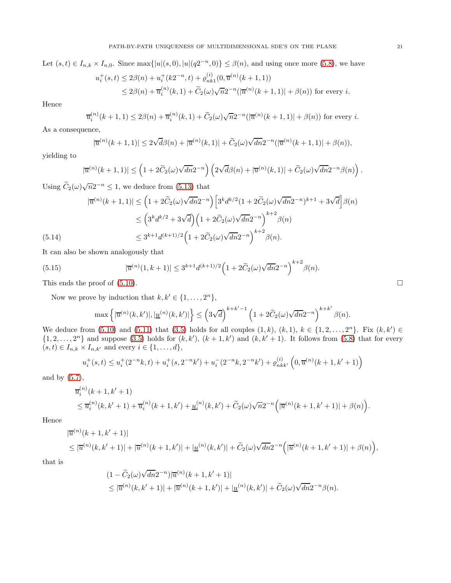Let  $(s,t) \in I_{n,k} \times I_{n,0}$ . Since  $\max\{|u|(s,0), |u|(q2^{-n},0)\} \leq \beta(n)$ , and using once more [\(5.8\)](#page-19-2), we have

$$
u_i^+(s,t) \le 2\beta(n) + u_i^+(k2^{-n},t) + \varrho_{nk1}^{(i)}(0,\overline{u}^{(n)}(k+1,1))
$$
  
 
$$
\le 2\beta(n) + \overline{u}_i^{(n)}(k,1) + \widetilde{C}_2(\omega)\sqrt{n}2^{-n}(|\overline{u}^{(n)}(k+1,1)| + \beta(n)) \text{ for every } i.
$$

Hence

$$
\overline{u}_{i}^{(n)}(k+1,1) \le 2\beta(n) + \overline{u}_{i}^{(n)}(k,1) + \widetilde{C}_{2}(\omega)\sqrt{n}2^{-n}(|\overline{u}^{(n)}(k+1,1)| + \beta(n))
$$
 for every *i*.

As a consequence,

$$
|\overline{u}^{(n)}(k+1,1)| \leq 2\sqrt{d}\beta(n) + |\overline{u}^{(n)}(k,1)| + \widetilde{C}_2(\omega)\sqrt{dn}2^{-n}(|\overline{u}^{(n)}(k+1,1)| + \beta(n)),
$$

yielding to

$$
|\overline{u}^{(n)}(k+1,1)| \leq \left(1 + 2\widetilde{C}_2(\omega)\sqrt{dn}2^{-n}\right)\left(2\sqrt{d}\beta(n) + |\overline{u}^{(n)}(k,1)| + \widetilde{C}_2(\omega)\sqrt{dn}2^{-n}\beta(n)\right).
$$

Using  $\widetilde{C}_2(\omega)\sqrt{n}2^{-n} \leq 1$ , we deduce from [\(5.13\)](#page-19-3) that

$$
|\overline{u}^{(n)}(k+1,1)| \leq \left(1 + 2\widetilde{C}_2(\omega)\sqrt{dn}2^{-n}\right) \left[3^k d^{k/2} (1 + 2\widetilde{C}_2(\omega)\sqrt{dn}2^{-n})^{k+1} + 3\sqrt{d}\right] \beta(n)
$$
  

$$
\leq \left(3^k d^{k/2} + 3\sqrt{d}\right) \left(1 + 2\widetilde{C}_2(\omega)\sqrt{dn}2^{-n}\right)^{k+2} \beta(n)
$$
  

$$
\leq 3^{k+1} d^{(k+1)/2} \left(1 + 2\widetilde{C}_2(\omega)\sqrt{dn}2^{-n}\right)^{k+2} \beta(n).
$$

It can also be shown analogously that

(5.15) 
$$
|\overline{u}^{(n)}(1,k+1)| \leq 3^{k+1} d^{(k+1)/2} \left(1 + 2\widetilde{C}_2(\omega)\sqrt{dn}2^{-n}\right)^{k+2} \beta(n).
$$

This ends the proof of [\(5.10\)](#page-19-0).

Now we prove by induction that  $k, k' \in \{1, \ldots, 2^n\},\$ 

$$
\max \left\{ |\overline{u}^{(n)}(k,k')|, |\underline{u}^{(n)}(k,k')| \right\} \leq \left( 3 \sqrt{d} \right)^{k+k'-1} \left( 1 + 2 \widetilde{C}_2(\omega) \sqrt{dn} 2^{-n} \right)^{k+k'} \beta(n).
$$

We deduce from  $(5.10)$  and  $(5.11)$  that  $(3.5)$  holds for all couples  $(1, k)$ ,  $(k, 1)$ ,  $k \in \{1, 2, ..., 2^n\}$ . Fix  $(k, k') \in$  $\{1, 2, \ldots, 2^n\}$  and suppose [\(3.5\)](#page-7-0) holds for  $(k, k')$ ,  $(k + 1, k')$  and  $(k, k' + 1)$ . It follows from [\(5.8\)](#page-19-2) that for every  $(s, t) \in I_{n,k} \times I_{n,k'}$  and every  $i \in \{1, \ldots, d\},$ 

$$
u_i^+(s,t) \le u_i^+(2^{-n}k,t) + u_i^+(s,2^{-n}k') + u_i^-(2^{-n}k,2^{-n}k') + \varrho_{nkk'}^{(i)}\left(0,\overline{u}^{(n)}(k+1,k'+1)\right)
$$

and by [\(5.7\)](#page-18-0),

$$
\overline{u}_{i}^{(n)}(k+1,k'+1) \n\leq \overline{u}_{i}^{(n)}(k,k'+1) + \overline{u}_{i}^{(n)}(k+1,k') + \underline{u}_{i}^{(n)}(k,k') + \widetilde{C}_{2}(\omega)\sqrt{n}2^{-n} \Big( |\overline{u}^{(n)}(k+1,k'+1)| + \beta(n) \Big).
$$

Hence

$$
\begin{aligned} &|\overline{u}^{(n)}(k+1,k'+1)|\\ &\leq |\overline{u}^{(n)}(k,k'+1)|+|\overline{u}^{(n)}(k+1,k')|+|\underline{u}^{(n)}(k,k')|+\widetilde{C}_2(\omega)\sqrt{dn}2^{-n}\Big(|\overline{u}^{(n)}(k+1,k'+1)|+\beta(n)\Big),\end{aligned}
$$

that is

$$
(1 - \widetilde{C}_2(\omega)\sqrt{dn}2^{-n})|\overline{u}^{(n)}(k+1, k'+1)|
$$
  
\$\leq |\overline{u}^{(n)}(k, k'+1)| + |\overline{u}^{(n)}(k+1, k')| + |\underline{u}^{(n)}(k, k')| + \widetilde{C}\_2(\omega)\sqrt{dn}2^{-n}\beta(n)\$.

$$
\qquad \qquad \Box
$$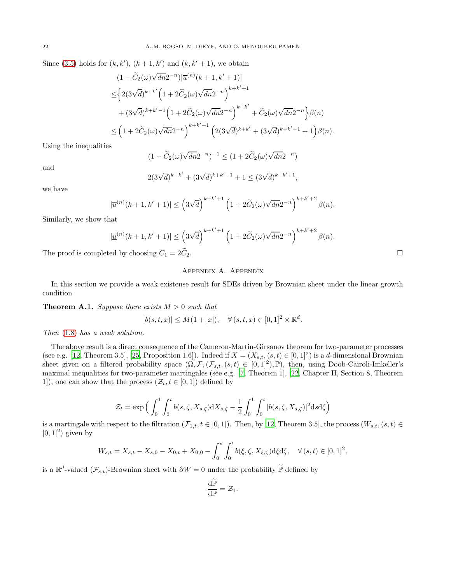Since [\(3.5\)](#page-7-0) holds for  $(k, k')$ ,  $(k + 1, k')$  and  $(k, k' + 1)$ , we obtain

$$
(1 - \widetilde{C}_2(\omega)\sqrt{dn}2^{-n})|\overline{u}^{(n)}(k+1,k'+1)|
$$
  
\n
$$
\leq \left\{ 2(3\sqrt{d})^{k+k'} \left( 1 + 2\widetilde{C}_2(\omega)\sqrt{dn}2^{-n} \right)^{k+k'+1} + (3\sqrt{d})^{k+k'-1} \left( 1 + 2\widetilde{C}_2(\omega)\sqrt{dn}2^{-n} \right)^{k+k'} + \widetilde{C}_2(\omega)\sqrt{dn}2^{-n} \right\} \beta(n)
$$
  
\n
$$
\leq \left( 1 + 2\widetilde{C}_2(\omega)\sqrt{dn}2^{-n} \right)^{k+k'+1} \left( 2(3\sqrt{d})^{k+k'} + (3\sqrt{d})^{k+k'-1} + 1 \right) \beta(n).
$$

Using the inequalities

$$
(1 - \widetilde{C}_2(\omega)\sqrt{dn}2^{-n})^{-1} \le (1 + 2\widetilde{C}_2(\omega)\sqrt{dn}2^{-n})
$$

$$
2(3\sqrt{d})^{k+k'} + (3\sqrt{d})^{k+k'-1} + 1 \le (3\sqrt{d})^{k+k'+1},
$$

we have

and

$$
|\overline{u}^{(n)}(k+1,k'+1)| \leq \left(3\sqrt{d}\right)^{k+k'+1}\left(1+2\widetilde{C}_2(\omega)\sqrt{dn}2^{-n}\right)^{k+k'+2}\beta(n).
$$

Similarly, we show that

$$
|\underline{u}^{(n)}(k+1,k'+1)|\leq \left(3\sqrt{d}\right)^{k+k'+1}\left(1+2\widetilde{C}_2(\omega)\sqrt{dn}2^{-n}\right)^{k+k'+2}\beta(n).
$$

The proof is completed by choosing  $C_1 = 2C_2$ .

# Appendix A. Appendix

In this section we provide a weak existense result for SDEs driven by Brownian sheet under the linear growth condition

<span id="page-21-0"></span>**Theorem A.1.** Suppose there exists  $M > 0$  such that

$$
|b(s,t,x)| \le M(1+|x|), \quad \forall (s,t,x) \in [0,1]^2 \times \mathbb{R}^d.
$$

Then [\(1.8\)](#page-2-0) has a weak solution.

The above result is a direct consequence of the Cameron-Martin-Girsanov theorem for two-parameter processes (see e.g. [\[12,](#page-22-16) Theorem 3.5], [\[25](#page-23-16), Proposition 1.6]). Indeed if  $X = (X_{s,t}, (s,t) \in [0,1]^2)$  is a d-dimensional Brownian sheet given on a filtered probability space  $(\Omega, \mathcal{F}, (\mathcal{F}_{s,t}, (s,t) \in [0,1]^2), \mathbb{P})$ , then, using Doob-Cairoli-Imkeller's maximal inequalities for two-parameter martingales (see e.g. [\[7](#page-22-23), Theorem 1], [\[22](#page-22-17), Chapter II, Section 8, Theorem 1]), one can show that the process  $(\mathcal{Z}_t, t \in [0, 1])$  defined by

$$
\mathcal{Z}_t = \exp\Big(\int_0^1 \int_0^t b(s,\zeta,X_{s,\zeta})dX_{s,\zeta} - \frac{1}{2}\int_0^1 \int_0^t |b(s,\zeta,X_{s,\zeta})|^2dsd\zeta\Big)
$$

is a martingale with respect to the filtration  $(\mathcal{F}_{1,t}, t \in [0,1])$ . Then, by [\[12](#page-22-16), Theorem 3.5], the process  $(W_{s,t}, (s,t) \in$  $[0, 1]^2$  given by

$$
W_{s,t} = X_{s,t} - X_{s,0} - X_{0,t} + X_{0,0} - \int_0^s \int_0^t b(\xi,\zeta,X_{\xi,\zeta})d\xi d\zeta, \quad \forall (s,t) \in [0,1]^2,
$$

is a  $\mathbb{R}^d$ -valued  $(\mathcal{F}_{s,t})$ -Brownian sheet with  $\partial W = 0$  under the probability  $\mathbb{P}$  defined by

$$
\frac{\mathrm{d}\mathbb{P}}{\mathrm{d}\mathbb{P}}=\mathcal{Z}_1.
$$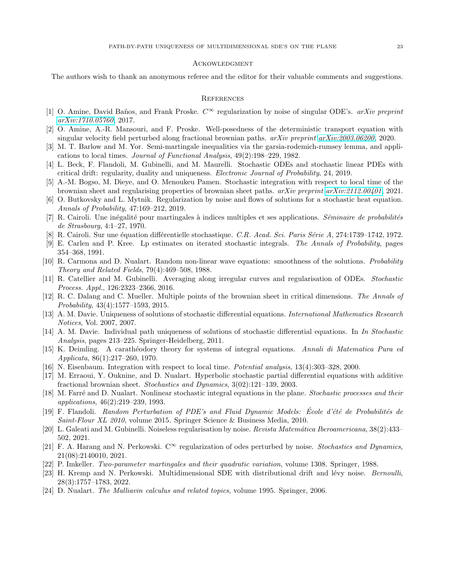### **ACKOWLEDGMENT**

The authors wish to thank an anonymous referee and the editor for their valuable comments and suggestions.

#### **REFERENCES**

- <span id="page-22-13"></span>[1] O. Amine, David Baños, and Frank Proske.  $C^{\infty}$  regularization by noise of singular ODE's. arXiv preprint [arXiv:1710.05760](http://arxiv.org/abs/1710.05760), 2017.
- <span id="page-22-11"></span>[2] O. Amine, A.-R. Mansouri, and F. Proske. Well-posedness of the deterministic transport equation with singular velocity field perturbed along fractional brownian paths.  $a\tau Xiv$  preprint  $a\tau Xiv:2003.06200$ , 2020.
- <span id="page-22-21"></span>[3] M. T. Barlow and M. Yor. Semi-martingale inequalities via the garsia-rodemich-rumsey lemma, and applications to local times. Journal of Functional Analysis, 49(2):198–229, 1982.
- <span id="page-22-7"></span>[4] L. Beck, F. Flandoli, M. Gubinelli, and M. Maurelli. Stochastic ODEs and stochastic linear PDEs with critical drift: regularity, duality and uniqueness. Electronic Journal of Probability, 24, 2019.
- <span id="page-22-18"></span>[5] A.-M. Bogso, M. Dieye, and O. Menoukeu Pamen. Stochastic integration with respect to local time of the brownian sheet and regularising properties of brownian sheet paths. arXiv preprint [arXiv:2112.00401](http://arxiv.org/abs/2112.00401), 2021.
- <span id="page-22-10"></span>[6] O. Butkovsky and L. Mytnik. Regularization by noise and flows of solutions for a stochastic heat equation. Annals of Probability, 47:169–212, 2019.
- <span id="page-22-23"></span>[7] R. Cairoli. Une inégalité pour martingales à indices multiples et ses applications. Séminaire de probabilités de Strasbourg, 4:1–27, 1970.
- <span id="page-22-3"></span>[8] R. Cairoli. Sur une équation différentielle stochastique. C.R. Acad. Sci. Paris Série A, 274:1739–1742, 1972.
- <span id="page-22-22"></span>[9] E. Carlen and P. Kree. Lp estimates on iterated stochastic integrals. The Annals of Probability, pages 354–368, 1991.
- <span id="page-22-1"></span>[10] R. Carmona and D. Nualart. Random non-linear wave equations: smoothness of the solutions. Probability Theory and Related Fields, 79(4):469–508, 1988.
- <span id="page-22-9"></span>[11] R. Catellier and M. Gubinelli. Averaging along irregular curves and regularisation of ODEs. Stochastic Process. Appl., 126:2323–2366, 2016.
- <span id="page-22-16"></span>[12] R. C. Dalang and C. Mueller. Multiple points of the brownian sheet in critical dimensions. The Annals of Probability, 43(4):1577–1593, 2015.
- <span id="page-22-5"></span>[13] A. M. Davie. Uniqueness of solutions of stochastic differential equations. International Mathematics Research Notices, Vol. 2007, 2007.
- <span id="page-22-8"></span>[14] A. M. Davie. Individual path uniqueness of solutions of stochastic differential equations. In In Stochastic Analysis, pages 213–225. Springer-Heidelberg, 2011.
- <span id="page-22-2"></span>[15] K. Deimling. A carath´eodory theory for systems of integral equations. Annali di Matematica Pura ed Applicata, 86(1):217–260, 1970.
- <span id="page-22-20"></span>[16] N. Eisenbaum. Integration with respect to local time. Potential analysis, 13(4):303–328, 2000.
- <span id="page-22-4"></span>[17] M. Erraoui, Y. Ouknine, and D. Nualart. Hyperbolic stochastic partial differential equations with additive fractional brownian sheet. Stochastics and Dynamics, 3(02):121–139, 2003.
- <span id="page-22-0"></span>[18] M. Farré and D. Nualart. Nonlinear stochastic integral equations in the plane. Stochastic processes and their applications, 46(2):219–239, 1993.
- <span id="page-22-6"></span>[19] F. Flandoli. Random Perturbation of PDE's and Fluid Dynamic Models: École d'été de Probabilités de Saint-Flour XL 2010, volume 2015. Springer Science & Business Media, 2010.
- <span id="page-22-12"></span>[20] L. Galeati and M. Gubinelli. Noiseless regularisation by noise. Revista Matemática Iberoamericana, 38(2):433– 502, 2021.
- <span id="page-22-14"></span>[21] F. A. Harang and N. Perkowski.  $C^{\infty}$  regularization of odes perturbed by noise. *Stochastics and Dynamics*, 21(08):2140010, 2021.
- <span id="page-22-17"></span>[22] P. Imkeller. Two-parameter martingales and their quadratic variation, volume 1308. Springer, 1988.
- <span id="page-22-15"></span>[23] H. Kremp and N. Perkowski. Multidimensional SDE with distributional drift and lévy noise. Bernoulli, 28(3):1757–1783, 2022.
- <span id="page-22-19"></span>[24] D. Nualart. The Malliavin calculus and related topics, volume 1995. Springer, 2006.